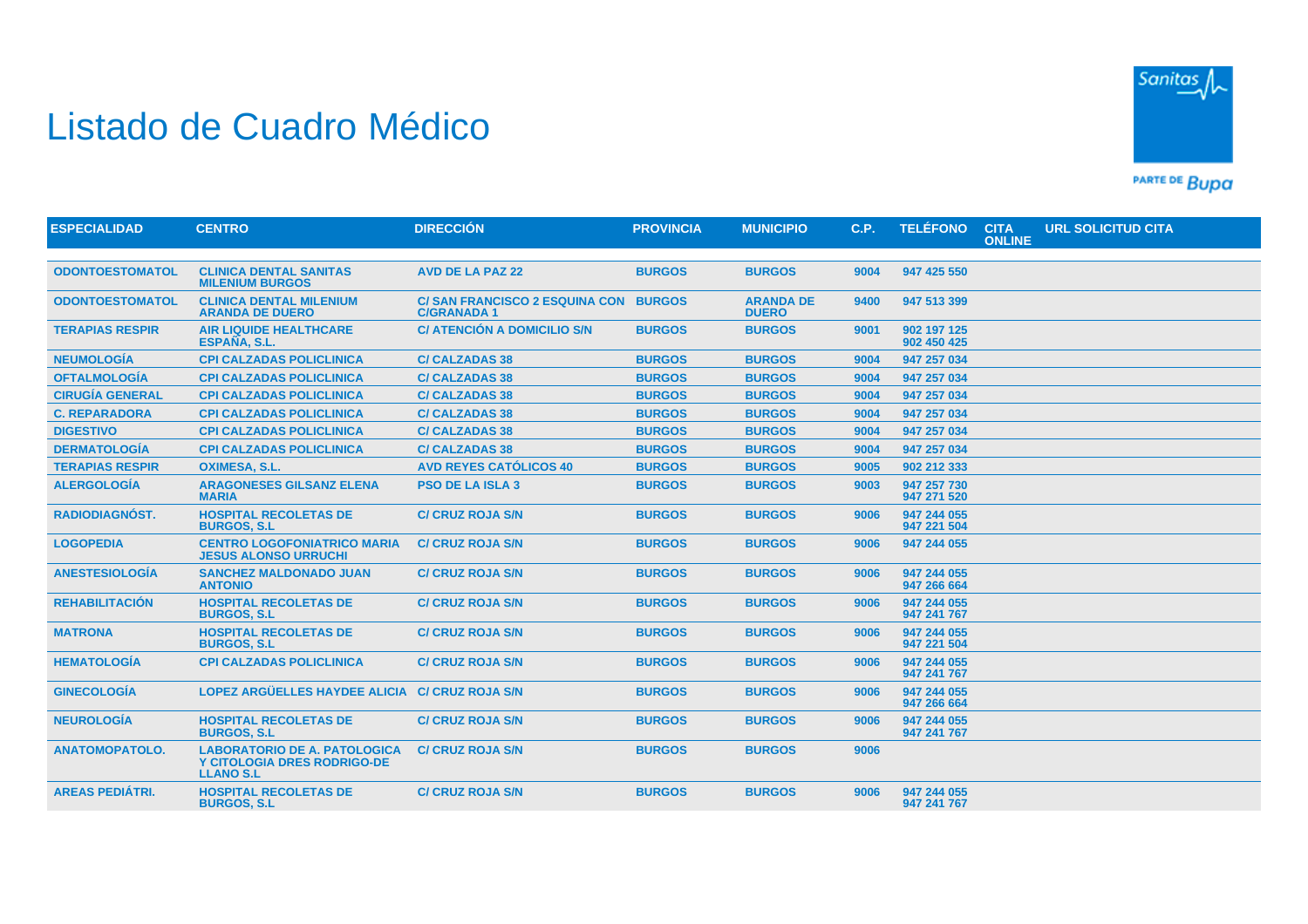## Listado de Cuadro Médico



PARTE DE BUDA

| <b>ESPECIALIDAD</b>    | <b>CENTRO</b>                                                                                 | <b>DIRECCIÓN</b>                                          | <b>PROVINCIA</b> | <b>MUNICIPIO</b>                 | C.P. | <b>TELÉFONO</b>            | <b>CITA</b><br><b>ONLINE</b> | <b>URL SOLICITUD CITA</b> |  |
|------------------------|-----------------------------------------------------------------------------------------------|-----------------------------------------------------------|------------------|----------------------------------|------|----------------------------|------------------------------|---------------------------|--|
|                        |                                                                                               |                                                           |                  |                                  |      |                            |                              |                           |  |
| <b>ODONTOESTOMATOL</b> | <b>CLINICA DENTAL SANITAS</b><br><b>MILENIUM BURGOS</b>                                       | <b>AVD DE LA PAZ 22</b>                                   | <b>BURGOS</b>    | <b>BURGOS</b>                    | 9004 | 947 425 550                |                              |                           |  |
| <b>ODONTOESTOMATOL</b> | <b>CLINICA DENTAL MILENIUM</b><br><b>ARANDA DE DUERO</b>                                      | <b>C/SAN FRANCISCO 2 ESQUINA CON</b><br><b>C/GRANADA1</b> | <b>BURGOS</b>    | <b>ARANDA DE</b><br><b>DUERO</b> | 9400 | 947 513 399                |                              |                           |  |
| <b>TERAPIAS RESPIR</b> | <b>AIR LIQUIDE HEALTHCARE</b><br>ESPAÑA, S.L.                                                 | C/ ATENCIÓN A DOMICILIO S/N                               | <b>BURGOS</b>    | <b>BURGOS</b>                    | 9001 | 902 197 125<br>902 450 425 |                              |                           |  |
| <b>NEUMOLOGÍA</b>      | <b>CPI CALZADAS POLICLINICA</b>                                                               | <b>C/ CALZADAS 38</b>                                     | <b>BURGOS</b>    | <b>BURGOS</b>                    | 9004 | 947 257 034                |                              |                           |  |
| <b>OFTALMOLOGÍA</b>    | <b>CPI CALZADAS POLICLINICA</b>                                                               | <b>C/ CALZADAS 38</b>                                     | <b>BURGOS</b>    | <b>BURGOS</b>                    | 9004 | 947 257 034                |                              |                           |  |
| <b>CIRUGÍA GENERAL</b> | <b>CPI CALZADAS POLICLINICA</b>                                                               | <b>C/ CALZADAS 38</b>                                     | <b>BURGOS</b>    | <b>BURGOS</b>                    | 9004 | 947 257 034                |                              |                           |  |
| <b>C. REPARADORA</b>   | <b>CPI CALZADAS POLICLINICA</b>                                                               | <b>C/ CALZADAS 38</b>                                     | <b>BURGOS</b>    | <b>BURGOS</b>                    | 9004 | 947 257 034                |                              |                           |  |
| <b>DIGESTIVO</b>       | <b>CPI CALZADAS POLICLINICA</b>                                                               | <b>C/ CALZADAS 38</b>                                     | <b>BURGOS</b>    | <b>BURGOS</b>                    | 9004 | 947 257 034                |                              |                           |  |
| <b>DERMATOLOGÍA</b>    | <b>CPI CALZADAS POLICLINICA</b>                                                               | <b>C/ CALZADAS 38</b>                                     | <b>BURGOS</b>    | <b>BURGOS</b>                    | 9004 | 947 257 034                |                              |                           |  |
| <b>TERAPIAS RESPIR</b> | <b>OXIMESA, S.L.</b>                                                                          | <b>AVD REYES CATÓLICOS 40</b>                             | <b>BURGOS</b>    | <b>BURGOS</b>                    | 9005 | 902 212 333                |                              |                           |  |
| <b>ALERGOLOGÍA</b>     | <b>ARAGONESES GILSANZ ELENA</b><br><b>MARIA</b>                                               | <b>PSO DE LA ISLA 3</b>                                   | <b>BURGOS</b>    | <b>BURGOS</b>                    | 9003 | 947 257 730<br>947 271 520 |                              |                           |  |
| <b>RADIODIAGNÓST.</b>  | <b>HOSPITAL RECOLETAS DE</b><br><b>BURGOS, S.L.</b>                                           | <b>C/ CRUZ ROJA S/N</b>                                   | <b>BURGOS</b>    | <b>BURGOS</b>                    | 9006 | 947 244 055<br>947 221 504 |                              |                           |  |
| <b>LOGOPEDIA</b>       | <b>CENTRO LOGOFONIATRICO MARIA</b><br><b>JESUS ALONSO URRUCHI</b>                             | <b>C/ CRUZ ROJA S/N</b>                                   | <b>BURGOS</b>    | <b>BURGOS</b>                    | 9006 | 947 244 055                |                              |                           |  |
| <b>ANESTESIOLOGIA</b>  | <b>SANCHEZ MALDONADO JUAN</b><br><b>ANTONIO</b>                                               | <b>C/ CRUZ ROJA S/N</b>                                   | <b>BURGOS</b>    | <b>BURGOS</b>                    | 9006 | 947 244 055<br>947 266 664 |                              |                           |  |
| <b>REHABILITACIÓN</b>  | <b>HOSPITAL RECOLETAS DE</b><br><b>BURGOS, S.L.</b>                                           | <b>C/ CRUZ ROJA S/N</b>                                   | <b>BURGOS</b>    | <b>BURGOS</b>                    | 9006 | 947 244 055<br>947 241 767 |                              |                           |  |
| <b>MATRONA</b>         | <b>HOSPITAL RECOLETAS DE</b><br><b>BURGOS, S.L.</b>                                           | <b>C/ CRUZ ROJA S/N</b>                                   | <b>BURGOS</b>    | <b>BURGOS</b>                    | 9006 | 947 244 055<br>947 221 504 |                              |                           |  |
| <b>HEMATOLOGÍA</b>     | <b>CPI CALZADAS POLICLINICA</b>                                                               | <b>C/ CRUZ ROJA S/N</b>                                   | <b>BURGOS</b>    | <b>BURGOS</b>                    | 9006 | 947 244 055<br>947 241 767 |                              |                           |  |
| <b>GINECOLOGÍA</b>     | LOPEZ ARGÜELLES HAYDEE ALICIA C/ CRUZ ROJA S/N                                                |                                                           | <b>BURGOS</b>    | <b>BURGOS</b>                    | 9006 | 947 244 055<br>947 266 664 |                              |                           |  |
| <b>NEUROLOGÍA</b>      | <b>HOSPITAL RECOLETAS DE</b><br><b>BURGOS, S.L.</b>                                           | <b>C/ CRUZ ROJA S/N</b>                                   | <b>BURGOS</b>    | <b>BURGOS</b>                    | 9006 | 947 244 055<br>947 241 767 |                              |                           |  |
| <b>ANATOMOPATOLO.</b>  | <b>LABORATORIO DE A. PATOLOGICA</b><br><b>Y CITOLOGIA DRES RODRIGO-DE</b><br><b>LLANO S.L</b> | <b>C/ CRUZ ROJA S/N</b>                                   | <b>BURGOS</b>    | <b>BURGOS</b>                    | 9006 |                            |                              |                           |  |
| <b>AREAS PEDIÁTRI.</b> | <b>HOSPITAL RECOLETAS DE</b><br><b>BURGOS, S.L.</b>                                           | <b>C/ CRUZ ROJA S/N</b>                                   | <b>BURGOS</b>    | <b>BURGOS</b>                    | 9006 | 947 244 055<br>947 241 767 |                              |                           |  |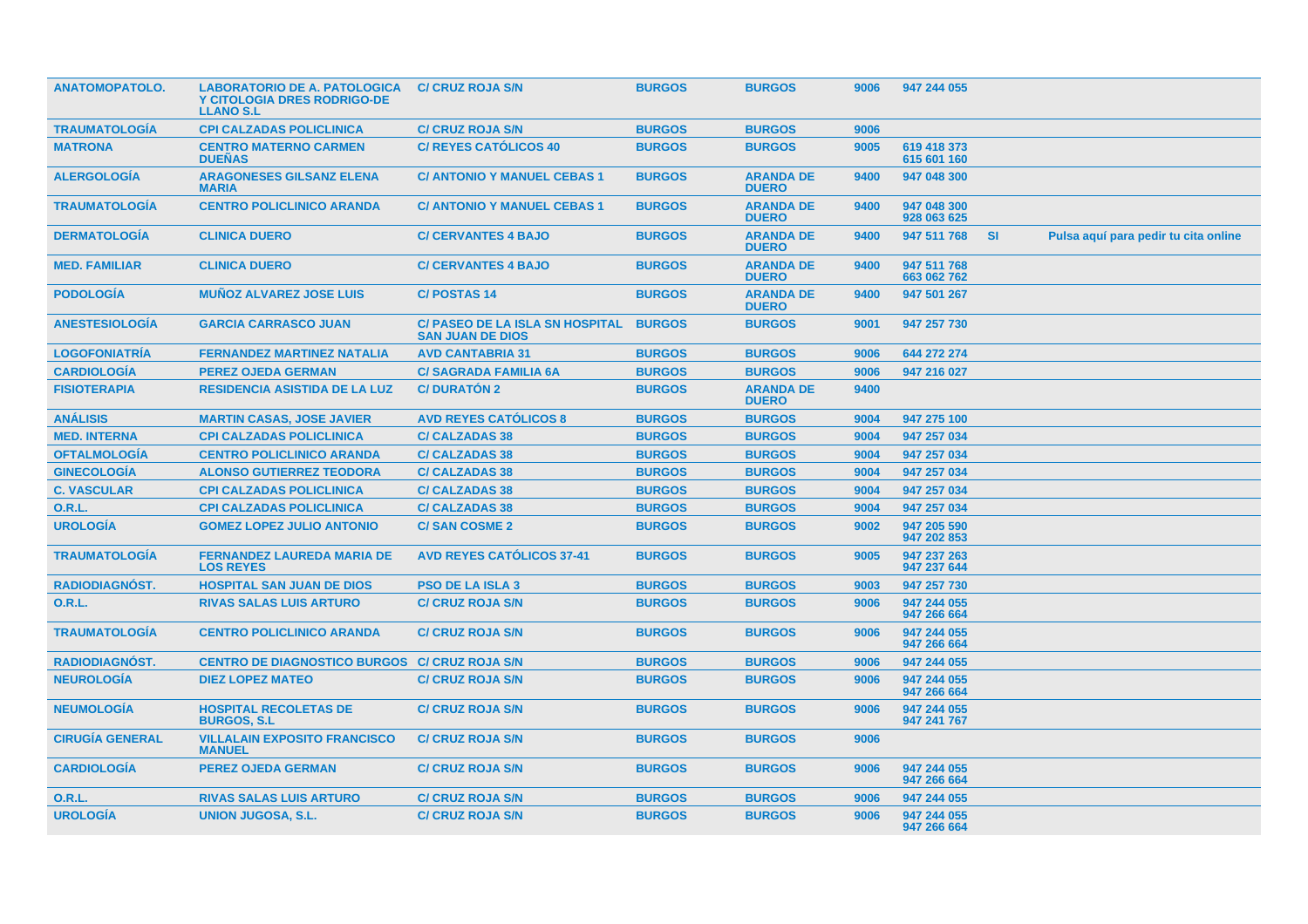| <b>ANATOMOPATOLO.</b>  | <b>LABORATORIO DE A. PATOLOGICA</b><br><b>Y CITOLOGIA DRES RODRIGO-DE</b><br><b>LLANO S.L</b> | <b>C/ CRUZ ROJA S/N</b>                                           | <b>BURGOS</b> | <b>BURGOS</b>                    | 9006 | 947 244 055                |     |                                      |
|------------------------|-----------------------------------------------------------------------------------------------|-------------------------------------------------------------------|---------------|----------------------------------|------|----------------------------|-----|--------------------------------------|
| <b>TRAUMATOLOGIA</b>   | <b>CPI CALZADAS POLICLINICA</b>                                                               | <b>C/ CRUZ ROJA S/N</b>                                           | <b>BURGOS</b> | <b>BURGOS</b>                    | 9006 |                            |     |                                      |
| <b>MATRONA</b>         | <b>CENTRO MATERNO CARMEN</b><br><b>DUEÑAS</b>                                                 | <b>C/ REYES CATOLICOS 40</b>                                      | <b>BURGOS</b> | <b>BURGOS</b>                    | 9005 | 619 418 373<br>615 601 160 |     |                                      |
| <b>ALERGOLOGÍA</b>     | <b>ARAGONESES GILSANZ ELENA</b><br><b>MARIA</b>                                               | <b>C/ ANTONIO Y MANUEL CEBAS 1</b>                                | <b>BURGOS</b> | <b>ARANDA DE</b><br><b>DUERO</b> | 9400 | 947 048 300                |     |                                      |
| <b>TRAUMATOLOGÍA</b>   | <b>CENTRO POLICLINICO ARANDA</b>                                                              | <b>C/ ANTONIO Y MANUEL CEBAS 1</b>                                | <b>BURGOS</b> | <b>ARANDA DE</b><br><b>DUERO</b> | 9400 | 947 048 300<br>928 063 625 |     |                                      |
| <b>DERMATOLOGIA</b>    | <b>CLINICA DUERO</b>                                                                          | <b>C/ CERVANTES 4 BAJO</b>                                        | <b>BURGOS</b> | <b>ARANDA DE</b><br><b>DUERO</b> | 9400 | 947 511 768                | -SI | Pulsa aquí para pedir tu cita online |
| <b>MED. FAMILIAR</b>   | <b>CLINICA DUERO</b>                                                                          | <b>C/ CERVANTES 4 BAJO</b>                                        | <b>BURGOS</b> | <b>ARANDA DE</b><br><b>DUERO</b> | 9400 | 947 511 768<br>663 062 762 |     |                                      |
| <b>PODOLOGIA</b>       | <b>MUNOZ ALVAREZ JOSE LUIS</b>                                                                | <b>C/POSTAS 14</b>                                                | <b>BURGOS</b> | <b>ARANDA DE</b><br><b>DUERO</b> | 9400 | 947 501 267                |     |                                      |
| <b>ANESTESIOLOGÍA</b>  | <b>GARCIA CARRASCO JUAN</b>                                                                   | <b>C/ PASEO DE LA ISLA SN HOSPITAL</b><br><b>SAN JUAN DE DIOS</b> | <b>BURGOS</b> | <b>BURGOS</b>                    | 9001 | 947 257 730                |     |                                      |
| <b>LOGOFONIATRÍA</b>   | <b>FERNANDEZ MARTINEZ NATALIA</b>                                                             | <b>AVD CANTABRIA 31</b>                                           | <b>BURGOS</b> | <b>BURGOS</b>                    | 9006 | 644 272 274                |     |                                      |
| <b>CARDIOLOGIA</b>     | <b>PEREZ OJEDA GERMAN</b>                                                                     | <b>C/SAGRADA FAMILIA 6A</b>                                       | <b>BURGOS</b> | <b>BURGOS</b>                    | 9006 | 947 216 027                |     |                                      |
| <b>FISIOTERAPIA</b>    | <b>RESIDENCIA ASISTIDA DE LA LUZ</b>                                                          | <b>C/DURATÓN 2</b>                                                | <b>BURGOS</b> | <b>ARANDA DE</b><br><b>DUERO</b> | 9400 |                            |     |                                      |
| <b>ANÁLISIS</b>        | <b>MARTIN CASAS, JOSE JAVIER</b>                                                              | <b>AVD REYES CATÓLICOS 8</b>                                      | <b>BURGOS</b> | <b>BURGOS</b>                    | 9004 | 947 275 100                |     |                                      |
| <b>MED. INTERNA</b>    | <b>CPI CALZADAS POLICLINICA</b>                                                               | <b>C/ CALZADAS 38</b>                                             | <b>BURGOS</b> | <b>BURGOS</b>                    | 9004 | 947 257 034                |     |                                      |
| <b>OFTALMOLOGÍA</b>    | <b>CENTRO POLICLINICO ARANDA</b>                                                              | <b>C/ CALZADAS 38</b>                                             | <b>BURGOS</b> | <b>BURGOS</b>                    | 9004 | 947 257 034                |     |                                      |
| <b>GINECOLOGÍA</b>     | <b>ALONSO GUTIERREZ TEODORA</b>                                                               | <b>C/ CALZADAS 38</b>                                             | <b>BURGOS</b> | <b>BURGOS</b>                    | 9004 | 947 257 034                |     |                                      |
| <b>C. VASCULAR</b>     | <b>CPI CALZADAS POLICLINICA</b>                                                               | <b>C/ CALZADAS 38</b>                                             | <b>BURGOS</b> | <b>BURGOS</b>                    | 9004 | 947 257 034                |     |                                      |
| <b>O.R.L.</b>          | <b>CPI CALZADAS POLICLINICA</b>                                                               | <b>C/ CALZADAS 38</b>                                             | <b>BURGOS</b> | <b>BURGOS</b>                    | 9004 | 947 257 034                |     |                                      |
| <b>UROLOGÍA</b>        | <b>GOMEZ LOPEZ JULIO ANTONIO</b>                                                              | <b>C/SAN COSME 2</b>                                              | <b>BURGOS</b> | <b>BURGOS</b>                    | 9002 | 947 205 590<br>947 202 853 |     |                                      |
| <b>TRAUMATOLOGÍA</b>   | <b>FERNANDEZ LAUREDA MARIA DE</b><br><b>LOS REYES</b>                                         | <b>AVD REYES CATÓLICOS 37-41</b>                                  | <b>BURGOS</b> | <b>BURGOS</b>                    | 9005 | 947 237 263<br>947 237 644 |     |                                      |
| <b>RADIODIAGNÓST.</b>  | <b>HOSPITAL SAN JUAN DE DIOS</b>                                                              | <b>PSO DE LA ISLA 3</b>                                           | <b>BURGOS</b> | <b>BURGOS</b>                    | 9003 | 947 257 730                |     |                                      |
| <b>O.R.L.</b>          | <b>RIVAS SALAS LUIS ARTURO</b>                                                                | <b>C/ CRUZ ROJA S/N</b>                                           | <b>BURGOS</b> | <b>BURGOS</b>                    | 9006 | 947 244 055<br>947 266 664 |     |                                      |
| <b>TRAUMATOLOGÍA</b>   | <b>CENTRO POLICLINICO ARANDA</b>                                                              | <b>C/ CRUZ ROJA S/N</b>                                           | <b>BURGOS</b> | <b>BURGOS</b>                    | 9006 | 947 244 055<br>947 266 664 |     |                                      |
| <b>RADIODIAGNOST.</b>  | <b>CENTRO DE DIAGNOSTICO BURGOS</b>                                                           | <b>C/ CRUZ ROJA S/N</b>                                           | <b>BURGOS</b> | <b>BURGOS</b>                    | 9006 | 947 244 055                |     |                                      |
| <b>NEUROLOGÍA</b>      | <b>DIEZ LOPEZ MATEO</b>                                                                       | <b>C/ CRUZ ROJA S/N</b>                                           | <b>BURGOS</b> | <b>BURGOS</b>                    | 9006 | 947 244 055<br>947 266 664 |     |                                      |
| <b>NEUMOLOGÍA</b>      | <b>HOSPITAL RECOLETAS DE</b><br><b>BURGOS, S.L.</b>                                           | <b>C/ CRUZ ROJA S/N</b>                                           | <b>BURGOS</b> | <b>BURGOS</b>                    | 9006 | 947 244 055<br>947 241 767 |     |                                      |
| <b>CIRUGÍA GENERAL</b> | <b>VILLALAIN EXPOSITO FRANCISCO</b><br><b>MANUEL</b>                                          | <b>C/ CRUZ ROJA S/N</b>                                           | <b>BURGOS</b> | <b>BURGOS</b>                    | 9006 |                            |     |                                      |
| <b>CARDIOLOGIA</b>     | <b>PEREZ OJEDA GERMAN</b>                                                                     | <b>C/ CRUZ ROJA S/N</b>                                           | <b>BURGOS</b> | <b>BURGOS</b>                    | 9006 | 947 244 055<br>947 266 664 |     |                                      |
| <b>O.R.L.</b>          | <b>RIVAS SALAS LUIS ARTURO</b>                                                                | <b>C/ CRUZ ROJA S/N</b>                                           | <b>BURGOS</b> | <b>BURGOS</b>                    | 9006 | 947 244 055                |     |                                      |
| <b>UROLOGÍA</b>        | <b>UNION JUGOSA, S.L.</b>                                                                     | <b>C/ CRUZ ROJA S/N</b>                                           | <b>BURGOS</b> | <b>BURGOS</b>                    | 9006 | 947 244 055<br>947 266 664 |     |                                      |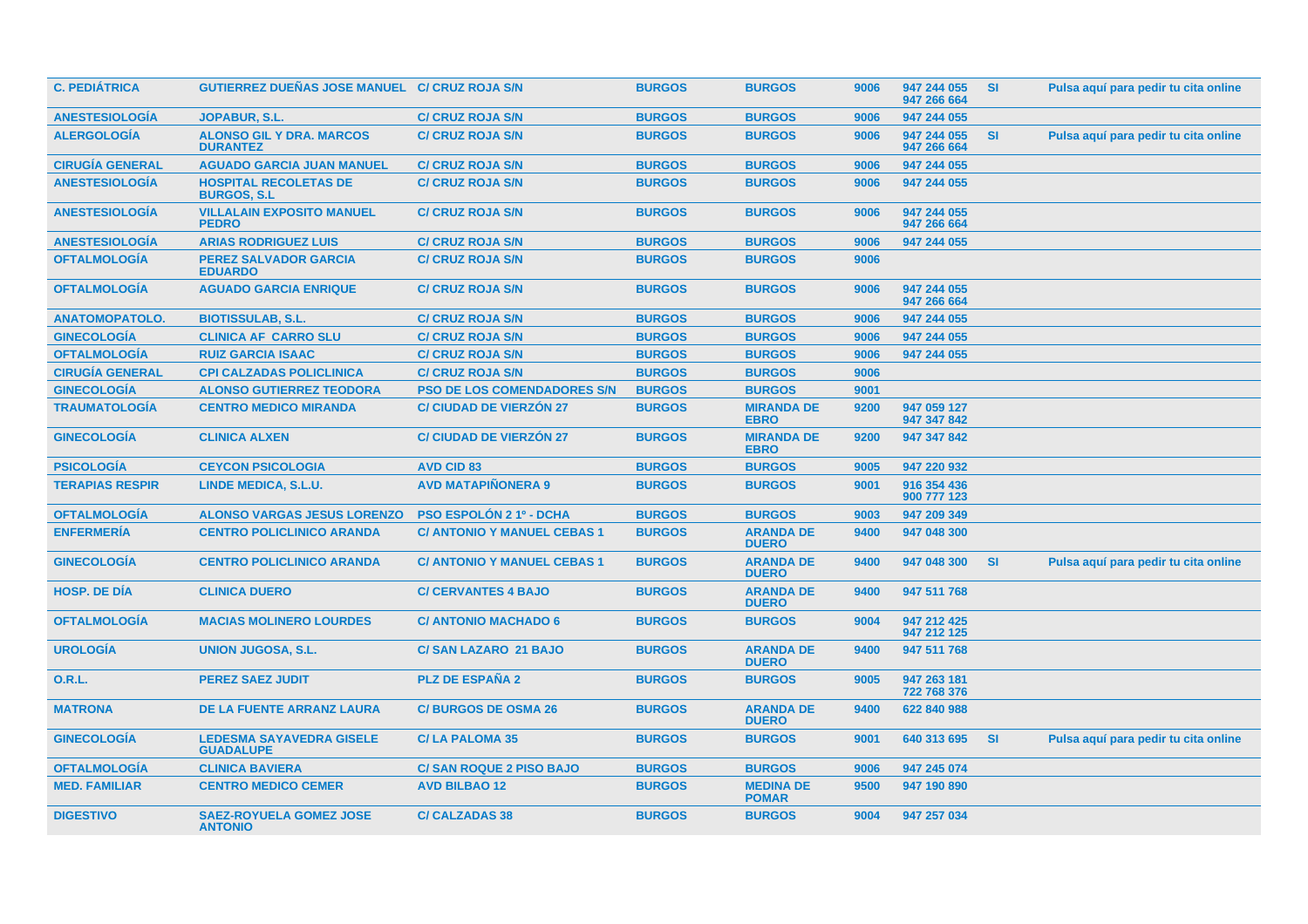| <b>C. PEDIÁTRICA</b>   | GUTIERREZ DUEÑAS JOSE MANUEL C/ CRUZ ROJA S/N       |                                    | <b>BURGOS</b> | <b>BURGOS</b>                    | 9006 | 947 244 055<br>947 266 664 | <b>SI</b> | Pulsa aquí para pedir tu cita online |
|------------------------|-----------------------------------------------------|------------------------------------|---------------|----------------------------------|------|----------------------------|-----------|--------------------------------------|
| <b>ANESTESIOLOGÍA</b>  | <b>JOPABUR, S.L.</b>                                | <b>C/ CRUZ ROJA S/N</b>            | <b>BURGOS</b> | <b>BURGOS</b>                    | 9006 | 947 244 055                |           |                                      |
| <b>ALERGOLOGÍA</b>     | <b>ALONSO GIL Y DRA. MARCOS</b><br><b>DURANTEZ</b>  | <b>C/ CRUZ ROJA S/N</b>            | <b>BURGOS</b> | <b>BURGOS</b>                    | 9006 | 947 244 055<br>947 266 664 | SI        | Pulsa aquí para pedir tu cita online |
| <b>CIRUGÍA GENERAL</b> | <b>AGUADO GARCIA JUAN MANUEL</b>                    | <b>C/ CRUZ ROJA S/N</b>            | <b>BURGOS</b> | <b>BURGOS</b>                    | 9006 | 947 244 055                |           |                                      |
| <b>ANESTESIOLOGÍA</b>  | <b>HOSPITAL RECOLETAS DE</b><br><b>BURGOS, S.L</b>  | <b>C/ CRUZ ROJA S/N</b>            | <b>BURGOS</b> | <b>BURGOS</b>                    | 9006 | 947 244 055                |           |                                      |
| <b>ANESTESIOLOGÍA</b>  | <b>VILLALAIN EXPOSITO MANUEL</b><br><b>PEDRO</b>    | <b>C/ CRUZ ROJA S/N</b>            | <b>BURGOS</b> | <b>BURGOS</b>                    | 9006 | 947 244 055<br>947 266 664 |           |                                      |
| <b>ANESTESIOLOGÍA</b>  | <b>ARIAS RODRIGUEZ LUIS</b>                         | <b>C/ CRUZ ROJA S/N</b>            | <b>BURGOS</b> | <b>BURGOS</b>                    | 9006 | 947 244 055                |           |                                      |
| <b>OFTALMOLOGÍA</b>    | <b>PEREZ SALVADOR GARCIA</b><br><b>EDUARDO</b>      | <b>C/ CRUZ ROJA S/N</b>            | <b>BURGOS</b> | <b>BURGOS</b>                    | 9006 |                            |           |                                      |
| <b>OFTALMOLOGÍA</b>    | <b>AGUADO GARCIA ENRIQUE</b>                        | <b>C/ CRUZ ROJA S/N</b>            | <b>BURGOS</b> | <b>BURGOS</b>                    | 9006 | 947 244 055<br>947 266 664 |           |                                      |
| <b>ANATOMOPATOLO.</b>  | <b>BIOTISSULAB, S.L.</b>                            | <b>C/ CRUZ ROJA S/N</b>            | <b>BURGOS</b> | <b>BURGOS</b>                    | 9006 | 947 244 055                |           |                                      |
| <b>GINECOLOGÍA</b>     | <b>CLINICA AF CARRO SLU</b>                         | <b>C/ CRUZ ROJA S/N</b>            | <b>BURGOS</b> | <b>BURGOS</b>                    | 9006 | 947 244 055                |           |                                      |
| <b>OFTALMOLOGÍA</b>    | <b>RUIZ GARCIA ISAAC</b>                            | <b>C/ CRUZ ROJA S/N</b>            | <b>BURGOS</b> | <b>BURGOS</b>                    | 9006 | 947 244 055                |           |                                      |
| <b>CIRUGÍA GENERAL</b> | <b>CPI CALZADAS POLICLINICA</b>                     | <b>C/ CRUZ ROJA S/N</b>            | <b>BURGOS</b> | <b>BURGOS</b>                    | 9006 |                            |           |                                      |
| <b>GINECOLOGÍA</b>     | <b>ALONSO GUTIERREZ TEODORA</b>                     | <b>PSO DE LOS COMENDADORES S/N</b> | <b>BURGOS</b> | <b>BURGOS</b>                    | 9001 |                            |           |                                      |
| <b>TRAUMATOLOGÍA</b>   | <b>CENTRO MEDICO MIRANDA</b>                        | <b>C/ CIUDAD DE VIERZÓN 27</b>     | <b>BURGOS</b> | <b>MIRANDA DE</b><br><b>EBRO</b> | 9200 | 947 059 127<br>947 347 842 |           |                                      |
| <b>GINECOLOGÍA</b>     | <b>CLINICA ALXEN</b>                                | <b>C/ CIUDAD DE VIERZÓN 27</b>     | <b>BURGOS</b> | <b>MIRANDA DE</b><br><b>EBRO</b> | 9200 | 947 347 842                |           |                                      |
| <b>PSICOLOGÍA</b>      | <b>CEYCON PSICOLOGIA</b>                            | <b>AVD CID 83</b>                  | <b>BURGOS</b> | <b>BURGOS</b>                    | 9005 | 947 220 932                |           |                                      |
| <b>TERAPIAS RESPIR</b> | LINDE MEDICA, S.L.U.                                | <b>AVD MATAPIÑONERA 9</b>          | <b>BURGOS</b> | <b>BURGOS</b>                    | 9001 | 916 354 436<br>900 777 123 |           |                                      |
| <b>OFTALMOLOGÍA</b>    | <b>ALONSO VARGAS JESUS LORENZO</b>                  | <b>PSO ESPOLÓN 2 1º - DCHA</b>     | <b>BURGOS</b> | <b>BURGOS</b>                    | 9003 | 947 209 349                |           |                                      |
| <b>ENFERMERÍA</b>      | <b>CENTRO POLICLINICO ARANDA</b>                    | <b>C/ ANTONIO Y MANUEL CEBAS 1</b> | <b>BURGOS</b> | <b>ARANDA DE</b><br><b>DUERO</b> | 9400 | 947 048 300                |           |                                      |
| <b>GINECOLOGÍA</b>     | <b>CENTRO POLICLINICO ARANDA</b>                    | <b>C/ ANTONIO Y MANUEL CEBAS 1</b> | <b>BURGOS</b> | <b>ARANDA DE</b><br><b>DUERO</b> | 9400 | 947 048 300                | <b>SI</b> | Pulsa aquí para pedir tu cita online |
| <b>HOSP, DE DIA</b>    | <b>CLINICA DUERO</b>                                | <b>C/ CERVANTES 4 BAJO</b>         | <b>BURGOS</b> | <b>ARANDA DE</b><br><b>DUERO</b> | 9400 | 947 511 768                |           |                                      |
| <b>OFTALMOLOGÍA</b>    | <b>MACIAS MOLINERO LOURDES</b>                      | <b>C/ ANTONIO MACHADO 6</b>        | <b>BURGOS</b> | <b>BURGOS</b>                    | 9004 | 947 212 425<br>947 212 125 |           |                                      |
| <b>UROLOGÍA</b>        | <b>UNION JUGOSA, S.L.</b>                           | <b>C/SAN LAZARO 21 BAJO</b>        | <b>BURGOS</b> | <b>ARANDA DE</b><br><b>DUERO</b> | 9400 | 947 511 768                |           |                                      |
| <b>O.R.L.</b>          | <b>PEREZ SAEZ JUDIT</b>                             | <b>PLZ DE ESPAÑA 2</b>             | <b>BURGOS</b> | <b>BURGOS</b>                    | 9005 | 947 263 181<br>722 768 376 |           |                                      |
| <b>MATRONA</b>         | DE LA FUENTE ARRANZ LAURA                           | <b>C/BURGOS DE OSMA 26</b>         | <b>BURGOS</b> | <b>ARANDA DE</b><br><b>DUERO</b> | 9400 | 622 840 988                |           |                                      |
| <b>GINECOLOGÍA</b>     | <b>LEDESMA SAYAVEDRA GISELE</b><br><b>GUADALUPE</b> | <b>C/LA PALOMA 35</b>              | <b>BURGOS</b> | <b>BURGOS</b>                    | 9001 | 640 313 695                | <b>SI</b> | Pulsa aquí para pedir tu cita online |
| <b>OFTALMOLOGÍA</b>    | <b>CLINICA BAVIERA</b>                              | C/ SAN ROQUE 2 PISO BAJO           | <b>BURGOS</b> | <b>BURGOS</b>                    | 9006 | 947 245 074                |           |                                      |
| <b>MED. FAMILIAR</b>   | <b>CENTRO MEDICO CEMER</b>                          | <b>AVD BILBAO 12</b>               | <b>BURGOS</b> | <b>MEDINA DE</b><br><b>POMAR</b> | 9500 | 947 190 890                |           |                                      |
| <b>DIGESTIVO</b>       | <b>SAEZ-ROYUELA GOMEZ JOSE</b><br><b>ANTONIO</b>    | <b>C/ CALZADAS 38</b>              | <b>BURGOS</b> | <b>BURGOS</b>                    | 9004 | 947 257 034                |           |                                      |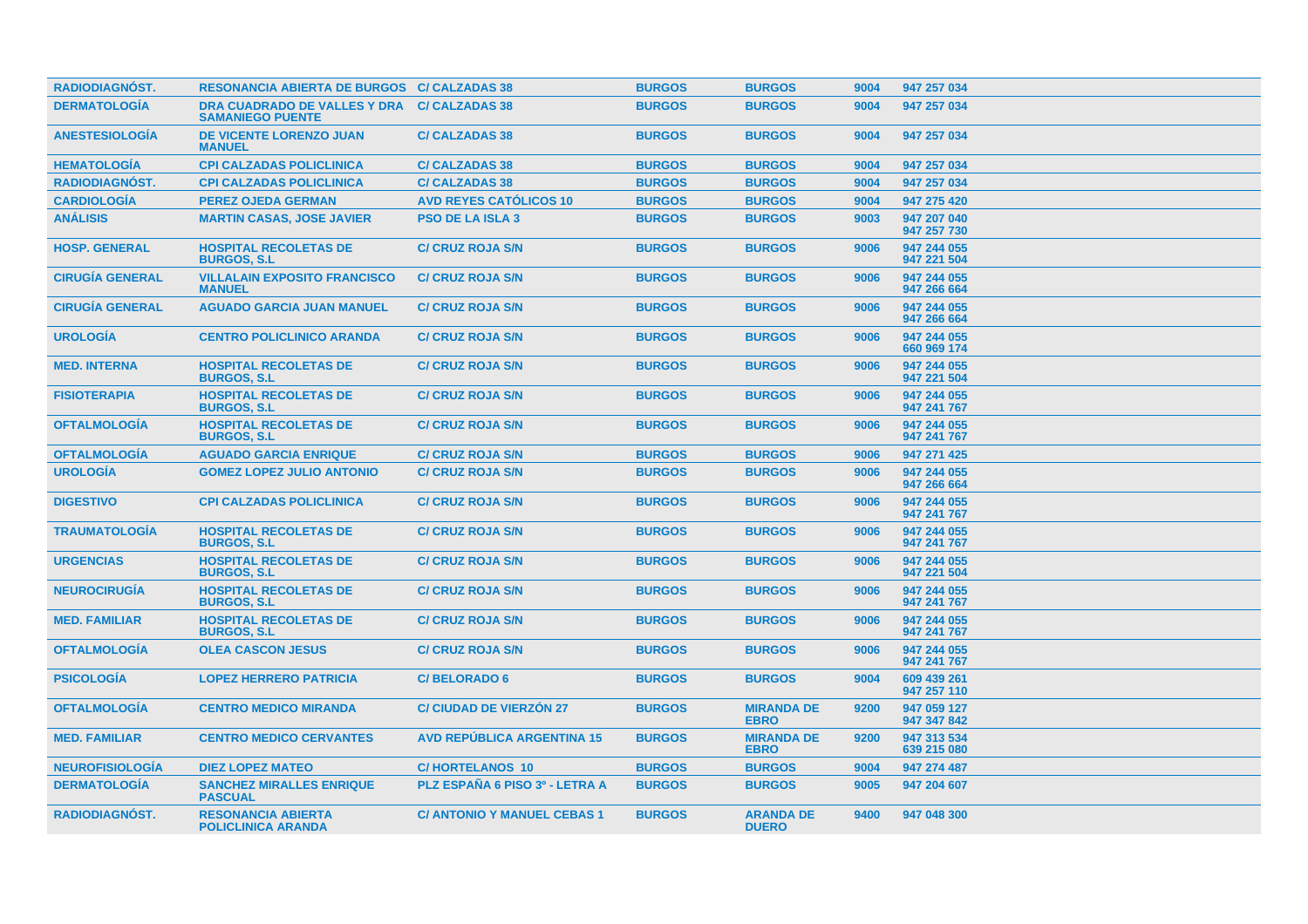| <b>RADIODIAGNOST.</b>  | <b>RESONANCIA ABIERTA DE BURGOS C/ CALZADAS 38</b>             |                                    | <b>BURGOS</b> | <b>BURGOS</b>                    | 9004 | 947 257 034                |
|------------------------|----------------------------------------------------------------|------------------------------------|---------------|----------------------------------|------|----------------------------|
| <b>DERMATOLOGÍA</b>    | <b>DRA CUADRADO DE VALLES Y DRA</b><br><b>SAMANIEGO PUENTE</b> | <b>C/CALZADAS 38</b>               | <b>BURGOS</b> | <b>BURGOS</b>                    | 9004 | 947 257 034                |
| <b>ANESTESIOLOGÍA</b>  | <b>DE VICENTE LORENZO JUAN</b><br><b>MANUEL</b>                | <b>C/CALZADAS 38</b>               | <b>BURGOS</b> | <b>BURGOS</b>                    | 9004 | 947 257 034                |
| <b>HEMATOLOGÍA</b>     | <b>CPI CALZADAS POLICLINICA</b>                                | <b>C/ CALZADAS 38</b>              | <b>BURGOS</b> | <b>BURGOS</b>                    | 9004 | 947 257 034                |
| <b>RADIODIAGNOST.</b>  | <b>CPI CALZADAS POLICLINICA</b>                                | <b>C/ CALZADAS 38</b>              | <b>BURGOS</b> | <b>BURGOS</b>                    | 9004 | 947 257 034                |
| <b>CARDIOLOGÍA</b>     | <b>PEREZ OJEDA GERMAN</b>                                      | <b>AVD REYES CATÓLICOS 10</b>      | <b>BURGOS</b> | <b>BURGOS</b>                    | 9004 | 947 275 420                |
| <b>ANÁLISIS</b>        | <b>MARTIN CASAS, JOSE JAVIER</b>                               | <b>PSO DE LA ISLA 3</b>            | <b>BURGOS</b> | <b>BURGOS</b>                    | 9003 | 947 207 040<br>947 257 730 |
| <b>HOSP. GENERAL</b>   | <b>HOSPITAL RECOLETAS DE</b><br><b>BURGOS, S.L.</b>            | <b>C/ CRUZ ROJA S/N</b>            | <b>BURGOS</b> | <b>BURGOS</b>                    | 9006 | 947 244 055<br>947 221 504 |
| <b>CIRUGÍA GENERAL</b> | <b>VILLALAIN EXPOSITO FRANCISCO</b><br><b>MANUEL</b>           | <b>C/ CRUZ ROJA S/N</b>            | <b>BURGOS</b> | <b>BURGOS</b>                    | 9006 | 947 244 055<br>947 266 664 |
| <b>CIRUGÍA GENERAL</b> | <b>AGUADO GARCIA JUAN MANUEL</b>                               | <b>C/ CRUZ ROJA S/N</b>            | <b>BURGOS</b> | <b>BURGOS</b>                    | 9006 | 947 244 055<br>947 266 664 |
| <b>UROLOGÍA</b>        | <b>CENTRO POLICLINICO ARANDA</b>                               | <b>C/ CRUZ ROJA S/N</b>            | <b>BURGOS</b> | <b>BURGOS</b>                    | 9006 | 947 244 055<br>660 969 174 |
| <b>MED. INTERNA</b>    | <b>HOSPITAL RECOLETAS DE</b><br><b>BURGOS, S.L.</b>            | <b>C/ CRUZ ROJA S/N</b>            | <b>BURGOS</b> | <b>BURGOS</b>                    | 9006 | 947 244 055<br>947 221 504 |
| <b>FISIOTERAPIA</b>    | <b>HOSPITAL RECOLETAS DE</b><br><b>BURGOS, S.L.</b>            | <b>C/ CRUZ ROJA S/N</b>            | <b>BURGOS</b> | <b>BURGOS</b>                    | 9006 | 947 244 055<br>947 241 767 |
| <b>OFTALMOLOGÍA</b>    | <b>HOSPITAL RECOLETAS DE</b><br><b>BURGOS, S.L.</b>            | <b>C/ CRUZ ROJA S/N</b>            | <b>BURGOS</b> | <b>BURGOS</b>                    | 9006 | 947 244 055<br>947 241 767 |
| <b>OFTALMOLOGÍA</b>    | <b>AGUADO GARCIA ENRIQUE</b>                                   | <b>C/ CRUZ ROJA S/N</b>            | <b>BURGOS</b> | <b>BURGOS</b>                    | 9006 | 947 271 425                |
| <b>UROLOGIA</b>        | <b>GOMEZ LOPEZ JULIO ANTONIO</b>                               | <b>C/ CRUZ ROJA S/N</b>            | <b>BURGOS</b> | <b>BURGOS</b>                    | 9006 | 947 244 055<br>947 266 664 |
| <b>DIGESTIVO</b>       | <b>CPI CALZADAS POLICLINICA</b>                                | <b>C/ CRUZ ROJA S/N</b>            | <b>BURGOS</b> | <b>BURGOS</b>                    | 9006 | 947 244 055<br>947 241 767 |
| <b>TRAUMATOLOGIA</b>   | <b>HOSPITAL RECOLETAS DE</b><br><b>BURGOS, S.L.</b>            | <b>C/ CRUZ ROJA S/N</b>            | <b>BURGOS</b> | <b>BURGOS</b>                    | 9006 | 947 244 055<br>947 241 767 |
| <b>URGENCIAS</b>       | <b>HOSPITAL RECOLETAS DE</b><br><b>BURGOS, S.L.</b>            | <b>C/ CRUZ ROJA S/N</b>            | <b>BURGOS</b> | <b>BURGOS</b>                    | 9006 | 947 244 055<br>947 221 504 |
| <b>NEUROCIRUGÍA</b>    | <b>HOSPITAL RECOLETAS DE</b><br><b>BURGOS, S.L.</b>            | <b>C/ CRUZ ROJA S/N</b>            | <b>BURGOS</b> | <b>BURGOS</b>                    | 9006 | 947 244 055<br>947 241 767 |
| <b>MED. FAMILIAR</b>   | <b>HOSPITAL RECOLETAS DE</b><br><b>BURGOS, S.L.</b>            | <b>C/ CRUZ ROJA S/N</b>            | <b>BURGOS</b> | <b>BURGOS</b>                    | 9006 | 947 244 055<br>947 241 767 |
| <b>OFTALMOLOGÍA</b>    | <b>OLEA CASCON JESUS</b>                                       | <b>C/ CRUZ ROJA S/N</b>            | <b>BURGOS</b> | <b>BURGOS</b>                    | 9006 | 947 244 055<br>947 241 767 |
| <b>PSICOLOGÍA</b>      | <b>LOPEZ HERRERO PATRICIA</b>                                  | <b>C/BELORADO 6</b>                | <b>BURGOS</b> | <b>BURGOS</b>                    | 9004 | 609 439 261<br>947 257 110 |
| <b>OFTALMOLOGÍA</b>    | <b>CENTRO MEDICO MIRANDA</b>                                   | <b>C/ CIUDAD DE VIERZÓN 27</b>     | <b>BURGOS</b> | <b>MIRANDA DE</b><br><b>EBRO</b> | 9200 | 947 059 127<br>947 347 842 |
| <b>MED. FAMILIAR</b>   | <b>CENTRO MEDICO CERVANTES</b>                                 | <b>AVD REPÚBLICA ARGENTINA 15</b>  | <b>BURGOS</b> | <b>MIRANDA DE</b><br><b>EBRO</b> | 9200 | 947 313 534<br>639 215 080 |
| <b>NEUROFISIOLOGIA</b> | <b>DIEZ LOPEZ MATEO</b>                                        | <b>C/HORTELANOS 10</b>             | <b>BURGOS</b> | <b>BURGOS</b>                    | 9004 | 947 274 487                |
| <b>DERMATOLOGIA</b>    | <b>SANCHEZ MIRALLES ENRIQUE</b><br><b>PASCUAL</b>              | PLZ ESPAÑA 6 PISO 3º - LETRA A     | <b>BURGOS</b> | <b>BURGOS</b>                    | 9005 | 947 204 607                |
| <b>RADIODIAGNÓST.</b>  | <b>RESONANCIA ABIERTA</b><br><b>POLICLINICA ARANDA</b>         | <b>C/ ANTONIO Y MANUEL CEBAS 1</b> | <b>BURGOS</b> | <b>ARANDA DE</b><br><b>DUERO</b> | 9400 | 947 048 300                |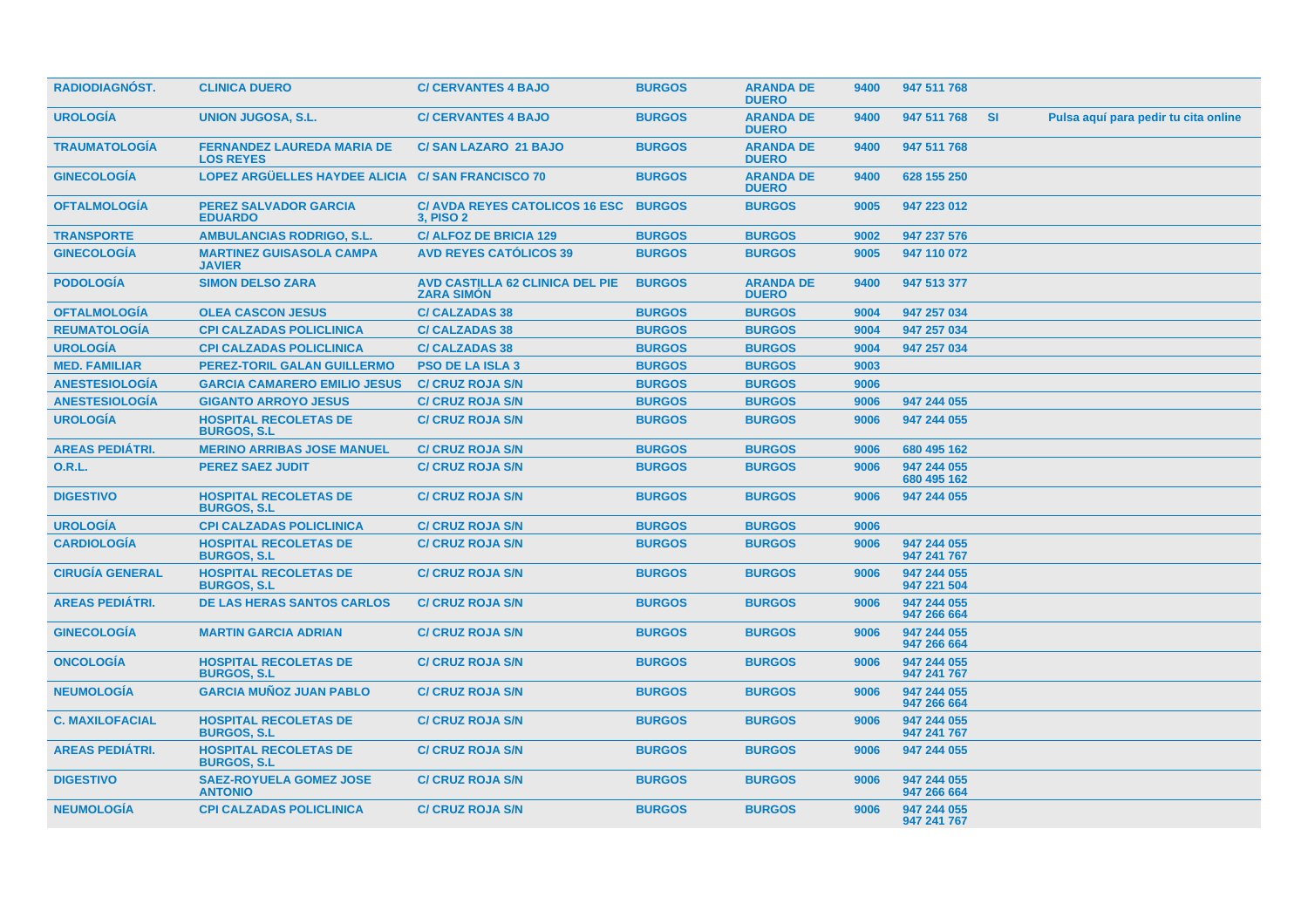| <b>RADIODIAGNOST.</b>  | <b>CLINICA DUERO</b>                                  | <b>C/ CERVANTES 4 BAJO</b>                                  | <b>BURGOS</b> | <b>ARANDA DE</b><br><b>DUERO</b> | 9400 | 947 511 768                |     |                                      |
|------------------------|-------------------------------------------------------|-------------------------------------------------------------|---------------|----------------------------------|------|----------------------------|-----|--------------------------------------|
| <b>UROLOGIA</b>        | <b>UNION JUGOSA, S.L.</b>                             | <b>C/ CERVANTES 4 BAJO</b>                                  | <b>BURGOS</b> | <b>ARANDA DE</b><br><b>DUERO</b> | 9400 | 947 511 768                | -SI | Pulsa aquí para pedir tu cita online |
| <b>TRAUMATOLOGÍA</b>   | <b>FERNANDEZ LAUREDA MARIA DE</b><br><b>LOS REYES</b> | <b>C/SAN LAZARO 21 BAJO</b>                                 | <b>BURGOS</b> | <b>ARANDA DE</b><br><b>DUERO</b> | 9400 | 947 511 768                |     |                                      |
| <b>GINECOLOGÍA</b>     | LOPEZ ARGÜELLES HAYDEE ALICIA C/ SAN FRANCISCO 70     |                                                             | <b>BURGOS</b> | <b>ARANDA DE</b><br><b>DUERO</b> | 9400 | 628 155 250                |     |                                      |
| <b>OFTALMOLOGIA</b>    | <b>PEREZ SALVADOR GARCIA</b><br><b>EDUARDO</b>        | C/ AVDA REYES CATOLICOS 16 ESC BURGOS<br><b>3, PISO 2</b>   |               | <b>BURGOS</b>                    | 9005 | 947 223 012                |     |                                      |
| <b>TRANSPORTE</b>      | <b>AMBULANCIAS RODRIGO, S.L.</b>                      | <b>C/ ALFOZ DE BRICIA 129</b>                               | <b>BURGOS</b> | <b>BURGOS</b>                    | 9002 | 947 237 576                |     |                                      |
| <b>GINECOLOGIA</b>     | <b>MARTINEZ GUISASOLA CAMPA</b><br><b>JAVIER</b>      | <b>AVD REYES CATÓLICOS 39</b>                               | <b>BURGOS</b> | <b>BURGOS</b>                    | 9005 | 947 110 072                |     |                                      |
| <b>PODOLOGIA</b>       | <b>SIMON DELSO ZARA</b>                               | <b>AVD CASTILLA 62 CLINICA DEL PIE</b><br><b>ZARA SIMÓN</b> | <b>BURGOS</b> | <b>ARANDA DE</b><br><b>DUERO</b> | 9400 | 947 513 377                |     |                                      |
| <b>OFTALMOLOGÍA</b>    | <b>OLEA CASCON JESUS</b>                              | <b>C/CALZADAS 38</b>                                        | <b>BURGOS</b> | <b>BURGOS</b>                    | 9004 | 947 257 034                |     |                                      |
| <b>REUMATOLOGÍA</b>    | <b>CPI CALZADAS POLICLINICA</b>                       | <b>C/CALZADAS 38</b>                                        | <b>BURGOS</b> | <b>BURGOS</b>                    | 9004 | 947 257 034                |     |                                      |
| <b>UROLOGÍA</b>        | <b>CPI CALZADAS POLICLINICA</b>                       | <b>C/ CALZADAS 38</b>                                       | <b>BURGOS</b> | <b>BURGOS</b>                    | 9004 | 947 257 034                |     |                                      |
| <b>MED. FAMILIAR</b>   | <b>PEREZ-TORIL GALAN GUILLERMO</b>                    | <b>PSO DE LA ISLA 3</b>                                     | <b>BURGOS</b> | <b>BURGOS</b>                    | 9003 |                            |     |                                      |
| <b>ANESTESIOLOGÍA</b>  | <b>GARCIA CAMARERO EMILIO JESUS</b>                   | <b>C/ CRUZ ROJA S/N</b>                                     | <b>BURGOS</b> | <b>BURGOS</b>                    | 9006 |                            |     |                                      |
| <b>ANESTESIOLOGÍA</b>  | <b>GIGANTO ARROYO JESUS</b>                           | <b>C/ CRUZ ROJA S/N</b>                                     | <b>BURGOS</b> | <b>BURGOS</b>                    | 9006 | 947 244 055                |     |                                      |
| <b>UROLOGÍA</b>        | <b>HOSPITAL RECOLETAS DE</b><br><b>BURGOS, S.L.</b>   | <b>C/ CRUZ ROJA S/N</b>                                     | <b>BURGOS</b> | <b>BURGOS</b>                    | 9006 | 947 244 055                |     |                                      |
| <b>AREAS PEDIÁTRI.</b> | <b>MERINO ARRIBAS JOSE MANUEL</b>                     | <b>C/ CRUZ ROJA S/N</b>                                     | <b>BURGOS</b> | <b>BURGOS</b>                    | 9006 | 680 495 162                |     |                                      |
| 0.R.L.                 | <b>PEREZ SAEZ JUDIT</b>                               | <b>C/ CRUZ ROJA S/N</b>                                     | <b>BURGOS</b> | <b>BURGOS</b>                    | 9006 | 947 244 055<br>680 495 162 |     |                                      |
| <b>DIGESTIVO</b>       | <b>HOSPITAL RECOLETAS DE</b><br><b>BURGOS, S.L.</b>   | <b>C/ CRUZ ROJA S/N</b>                                     | <b>BURGOS</b> | <b>BURGOS</b>                    | 9006 | 947 244 055                |     |                                      |
| <b>UROLOGÍA</b>        | <b>CPI CALZADAS POLICLINICA</b>                       | <b>C/ CRUZ ROJA S/N</b>                                     | <b>BURGOS</b> | <b>BURGOS</b>                    | 9006 |                            |     |                                      |
| <b>CARDIOLOGÍA</b>     | <b>HOSPITAL RECOLETAS DE</b><br><b>BURGOS, S.L.</b>   | <b>C/ CRUZ ROJA S/N</b>                                     | <b>BURGOS</b> | <b>BURGOS</b>                    | 9006 | 947 244 055<br>947 241 767 |     |                                      |
| <b>CIRUGÍA GENERAL</b> | <b>HOSPITAL RECOLETAS DE</b><br><b>BURGOS, S.L</b>    | <b>C/ CRUZ ROJA S/N</b>                                     | <b>BURGOS</b> | <b>BURGOS</b>                    | 9006 | 947 244 055<br>947 221 504 |     |                                      |
| <b>AREAS PEDIÁTRI.</b> | <b>DE LAS HERAS SANTOS CARLOS</b>                     | <b>C/ CRUZ ROJA S/N</b>                                     | <b>BURGOS</b> | <b>BURGOS</b>                    | 9006 | 947 244 055<br>947 266 664 |     |                                      |
| <b>GINECOLOGÍA</b>     | <b>MARTIN GARCIA ADRIAN</b>                           | <b>C/ CRUZ ROJA S/N</b>                                     | <b>BURGOS</b> | <b>BURGOS</b>                    | 9006 | 947 244 055<br>947 266 664 |     |                                      |
| <b>ONCOLOGIA</b>       | <b>HOSPITAL RECOLETAS DE</b><br><b>BURGOS, S.L.</b>   | <b>C/ CRUZ ROJA S/N</b>                                     | <b>BURGOS</b> | <b>BURGOS</b>                    | 9006 | 947 244 055<br>947 241 767 |     |                                      |
| <b>NEUMOLOGIA</b>      | <b>GARCIA MUÑOZ JUAN PABLO</b>                        | <b>C/ CRUZ ROJA S/N</b>                                     | <b>BURGOS</b> | <b>BURGOS</b>                    | 9006 | 947 244 055<br>947 266 664 |     |                                      |
| <b>C. MAXILOFACIAL</b> | <b>HOSPITAL RECOLETAS DE</b><br><b>BURGOS, S.L</b>    | <b>C/ CRUZ ROJA S/N</b>                                     | <b>BURGOS</b> | <b>BURGOS</b>                    | 9006 | 947 244 055<br>947 241 767 |     |                                      |
| <b>AREAS PEDIATRI.</b> | <b>HOSPITAL RECOLETAS DE</b><br><b>BURGOS, S.L.</b>   | <b>C/ CRUZ ROJA S/N</b>                                     | <b>BURGOS</b> | <b>BURGOS</b>                    | 9006 | 947 244 055                |     |                                      |
| <b>DIGESTIVO</b>       | <b>SAEZ-ROYUELA GOMEZ JOSE</b><br><b>ANTONIO</b>      | <b>C/ CRUZ ROJA S/N</b>                                     | <b>BURGOS</b> | <b>BURGOS</b>                    | 9006 | 947 244 055<br>947 266 664 |     |                                      |
| <b>NEUMOLOGIA</b>      | <b>CPI CALZADAS POLICLINICA</b>                       | <b>C/ CRUZ ROJA S/N</b>                                     | <b>BURGOS</b> | <b>BURGOS</b>                    | 9006 | 947 244 055<br>947 241 767 |     |                                      |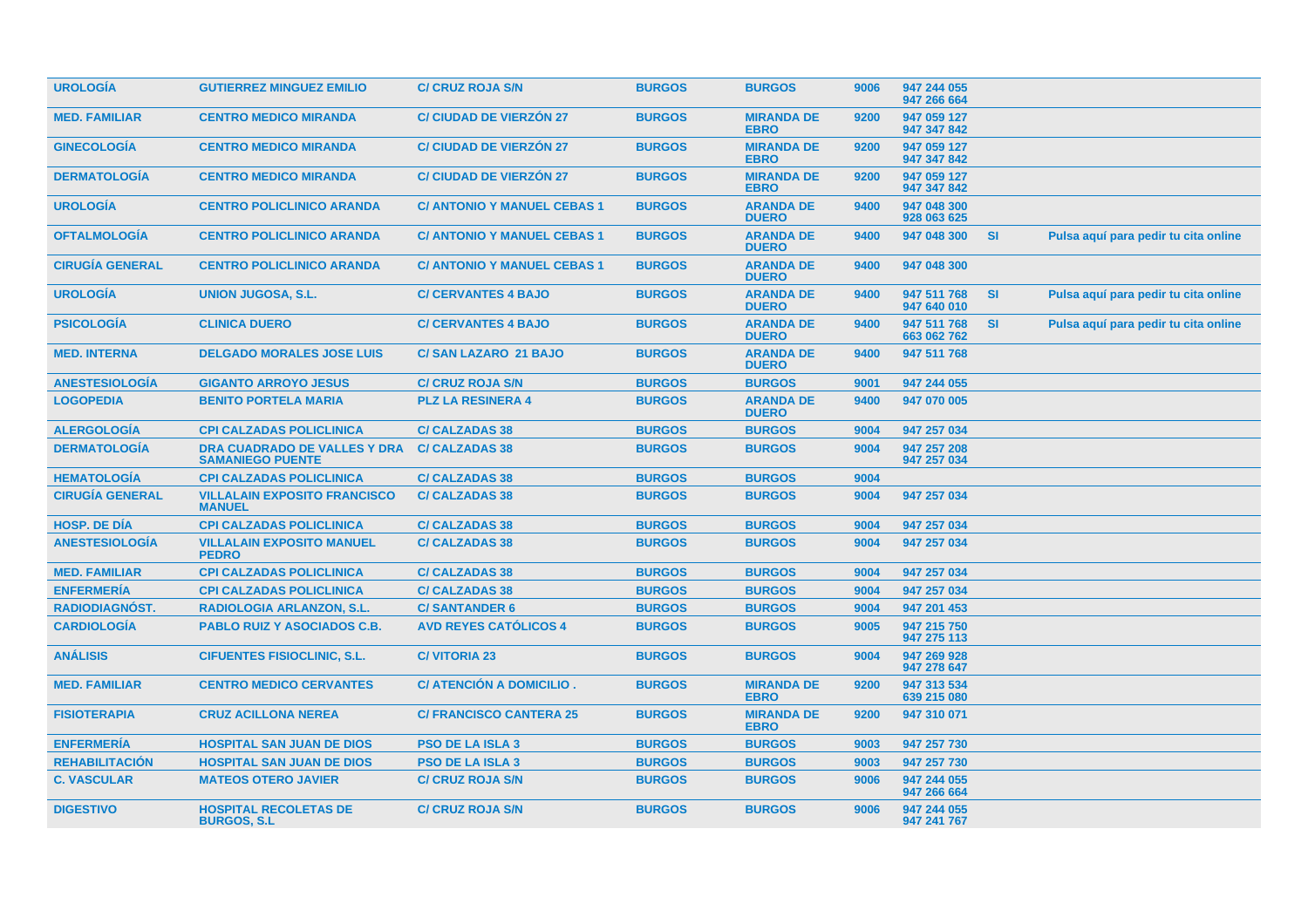| <b>UROLOGIA</b>        | <b>GUTIERREZ MINGUEZ EMILIO</b>                                | <b>C/ CRUZ ROJA S/N</b>            | <b>BURGOS</b> | <b>BURGOS</b>                    | 9006 | 947 244 055<br>947 266 664 |           |                                      |  |
|------------------------|----------------------------------------------------------------|------------------------------------|---------------|----------------------------------|------|----------------------------|-----------|--------------------------------------|--|
| <b>MED. FAMILIAR</b>   | <b>CENTRO MEDICO MIRANDA</b>                                   | <b>C/ CIUDAD DE VIERZÓN 27</b>     | <b>BURGOS</b> | <b>MIRANDA DE</b><br><b>EBRO</b> | 9200 | 947 059 127<br>947 347 842 |           |                                      |  |
| <b>GINECOLOGIA</b>     | <b>CENTRO MEDICO MIRANDA</b>                                   | <b>C/ CIUDAD DE VIERZÓN 27</b>     | <b>BURGOS</b> | <b>MIRANDA DE</b><br><b>EBRO</b> | 9200 | 947 059 127<br>947 347 842 |           |                                      |  |
| <b>DERMATOLOGIA</b>    | <b>CENTRO MEDICO MIRANDA</b>                                   | <b>C/ CIUDAD DE VIERZON 27</b>     | <b>BURGOS</b> | <b>MIRANDA DE</b><br><b>EBRO</b> | 9200 | 947 059 127<br>947 347 842 |           |                                      |  |
| <b>UROLOGÍA</b>        | <b>CENTRO POLICLINICO ARANDA</b>                               | <b>C/ ANTONIO Y MANUEL CEBAS 1</b> | <b>BURGOS</b> | <b>ARANDA DE</b><br><b>DUERO</b> | 9400 | 947 048 300<br>928 063 625 |           |                                      |  |
| <b>OFTALMOLOGÍA</b>    | <b>CENTRO POLICLINICO ARANDA</b>                               | <b>C/ ANTONIO Y MANUEL CEBAS 1</b> | <b>BURGOS</b> | <b>ARANDA DE</b><br><b>DUERO</b> | 9400 | 947 048 300                | <b>SI</b> | Pulsa aquí para pedir tu cita online |  |
| <b>CIRUGÍA GENERAL</b> | <b>CENTRO POLICLINICO ARANDA</b>                               | <b>C/ ANTONIO Y MANUEL CEBAS 1</b> | <b>BURGOS</b> | <b>ARANDA DE</b><br><b>DUERO</b> | 9400 | 947 048 300                |           |                                      |  |
| <b>UROLOGÍA</b>        | <b>UNION JUGOSA, S.L.</b>                                      | <b>C/ CERVANTES 4 BAJO</b>         | <b>BURGOS</b> | <b>ARANDA DE</b><br><b>DUERO</b> | 9400 | 947 511 768<br>947 640 010 | SI        | Pulsa aquí para pedir tu cita online |  |
| <b>PSICOLOGÍA</b>      | <b>CLINICA DUERO</b>                                           | <b>C/ CERVANTES 4 BAJO</b>         | <b>BURGOS</b> | <b>ARANDA DE</b><br><b>DUERO</b> | 9400 | 947 511 768<br>663 062 762 | <b>SI</b> | Pulsa aquí para pedir tu cita online |  |
| <b>MED. INTERNA</b>    | <b>DELGADO MORALES JOSE LUIS</b>                               | <b>C/SAN LAZARO 21 BAJO</b>        | <b>BURGOS</b> | <b>ARANDA DE</b><br><b>DUERO</b> | 9400 | 947 511 768                |           |                                      |  |
| <b>ANESTESIOLOGÍA</b>  | <b>GIGANTO ARROYO JESUS</b>                                    | <b>C/ CRUZ ROJA S/N</b>            | <b>BURGOS</b> | <b>BURGOS</b>                    | 9001 | 947 244 055                |           |                                      |  |
| <b>LOGOPEDIA</b>       | <b>BENITO PORTELA MARIA</b>                                    | <b>PLZ LA RESINERA 4</b>           | <b>BURGOS</b> | <b>ARANDA DE</b><br><b>DUERO</b> | 9400 | 947 070 005                |           |                                      |  |
| <b>ALERGOLOGÍA</b>     | <b>CPI CALZADAS POLICLINICA</b>                                | <b>C/CALZADAS 38</b>               | <b>BURGOS</b> | <b>BURGOS</b>                    | 9004 | 947 257 034                |           |                                      |  |
| <b>DERMATOLOGÍA</b>    | <b>DRA CUADRADO DE VALLES Y DRA</b><br><b>SAMANIEGO PUENTE</b> | <b>C/ CALZADAS 38</b>              | <b>BURGOS</b> | <b>BURGOS</b>                    | 9004 | 947 257 208<br>947 257 034 |           |                                      |  |
| <b>HEMATOLOGÍA</b>     | <b>CPI CALZADAS POLICLINICA</b>                                | <b>C/ CALZADAS 38</b>              | <b>BURGOS</b> | <b>BURGOS</b>                    | 9004 |                            |           |                                      |  |
| <b>CIRUGÍA GENERAL</b> | <b>VILLALAIN EXPOSITO FRANCISCO</b><br><b>MANUEL</b>           | <b>C/ CALZADAS 38</b>              | <b>BURGOS</b> | <b>BURGOS</b>                    | 9004 | 947 257 034                |           |                                      |  |
| <b>HOSP, DE DIA</b>    | <b>CPI CALZADAS POLICLINICA</b>                                | <b>C/ CALZADAS 38</b>              | <b>BURGOS</b> | <b>BURGOS</b>                    | 9004 | 947 257 034                |           |                                      |  |
| <b>ANESTESIOLOGÍA</b>  | <b>VILLALAIN EXPOSITO MANUEL</b><br><b>PEDRO</b>               | <b>C/CALZADAS 38</b>               | <b>BURGOS</b> | <b>BURGOS</b>                    | 9004 | 947 257 034                |           |                                      |  |
| <b>MED. FAMILIAR</b>   | <b>CPI CALZADAS POLICLINICA</b>                                | <b>C/ CALZADAS 38</b>              | <b>BURGOS</b> | <b>BURGOS</b>                    | 9004 | 947 257 034                |           |                                      |  |
| <b>ENFERMERÍA</b>      | <b>CPI CALZADAS POLICLINICA</b>                                | <b>C/CALZADAS 38</b>               | <b>BURGOS</b> | <b>BURGOS</b>                    | 9004 | 947 257 034                |           |                                      |  |
| RADIODIAGNÓST.         | <b>RADIOLOGIA ARLANZON, S.L.</b>                               | <b>C/SANTANDER 6</b>               | <b>BURGOS</b> | <b>BURGOS</b>                    | 9004 | 947 201 453                |           |                                      |  |
| <b>CARDIOLOGIA</b>     | <b>PABLO RUIZ Y ASOCIADOS C.B.</b>                             | <b>AVD REYES CATOLICOS 4</b>       | <b>BURGOS</b> | <b>BURGOS</b>                    | 9005 | 947 215 750<br>947 275 113 |           |                                      |  |
| <b>ANÁLISIS</b>        | <b>CIFUENTES FISIOCLINIC, S.L.</b>                             | <b>C/VITORIA 23</b>                | <b>BURGOS</b> | <b>BURGOS</b>                    | 9004 | 947 269 928<br>947 278 647 |           |                                      |  |
| <b>MED. FAMILIAR</b>   | <b>CENTRO MEDICO CERVANTES</b>                                 | C/ ATENCIÓN A DOMICILIO.           | <b>BURGOS</b> | <b>MIRANDA DE</b><br><b>EBRO</b> | 9200 | 947 313 534<br>639 215 080 |           |                                      |  |
| <b>FISIOTERAPIA</b>    | <b>CRUZ ACILLONA NEREA</b>                                     | <b>C/ FRANCISCO CANTERA 25</b>     | <b>BURGOS</b> | <b>MIRANDA DE</b><br><b>EBRO</b> | 9200 | 947 310 071                |           |                                      |  |
| <b>ENFERMERÍA</b>      | <b>HOSPITAL SAN JUAN DE DIOS</b>                               | <b>PSO DE LA ISLA 3</b>            | <b>BURGOS</b> | <b>BURGOS</b>                    | 9003 | 947 257 730                |           |                                      |  |
| <b>REHABILITACION</b>  | <b>HOSPITAL SAN JUAN DE DIOS</b>                               | <b>PSO DE LA ISLA 3</b>            | <b>BURGOS</b> | <b>BURGOS</b>                    | 9003 | 947 257 730                |           |                                      |  |
| <b>C. VASCULAR</b>     | <b>MATEOS OTERO JAVIER</b>                                     | <b>C/ CRUZ ROJA S/N</b>            | <b>BURGOS</b> | <b>BURGOS</b>                    | 9006 | 947 244 055<br>947 266 664 |           |                                      |  |
| <b>DIGESTIVO</b>       | <b>HOSPITAL RECOLETAS DE</b><br><b>BURGOS, S.L.</b>            | <b>C/ CRUZ ROJA S/N</b>            | <b>BURGOS</b> | <b>BURGOS</b>                    | 9006 | 947 244 055<br>947 241 767 |           |                                      |  |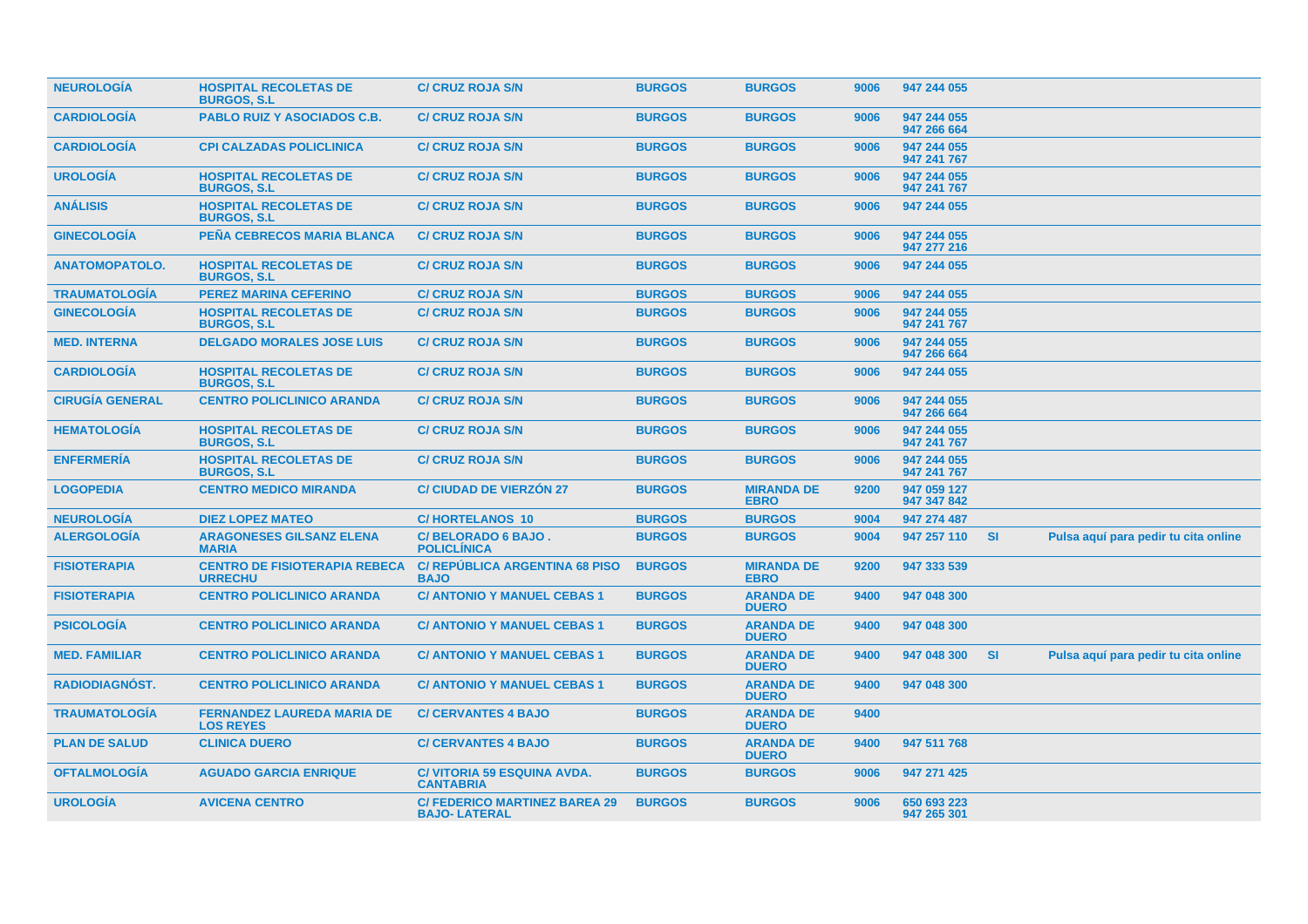| <b>NEUROLOGIA</b>      | <b>HOSPITAL RECOLETAS DE</b><br><b>BURGOS, S.L.</b>    | <b>C/ CRUZ ROJA S/N</b>                                    | <b>BURGOS</b> | <b>BURGOS</b>                    | 9006 | 947 244 055                |           |                                      |
|------------------------|--------------------------------------------------------|------------------------------------------------------------|---------------|----------------------------------|------|----------------------------|-----------|--------------------------------------|
| <b>CARDIOLOGIA</b>     | <b>PABLO RUIZ Y ASOCIADOS C.B.</b>                     | <b>C/ CRUZ ROJA S/N</b>                                    | <b>BURGOS</b> | <b>BURGOS</b>                    | 9006 | 947 244 055<br>947 266 664 |           |                                      |
| <b>CARDIOLOGIA</b>     | <b>CPI CALZADAS POLICLINICA</b>                        | <b>C/ CRUZ ROJA S/N</b>                                    | <b>BURGOS</b> | <b>BURGOS</b>                    | 9006 | 947 244 055<br>947 241 767 |           |                                      |
| <b>UROLOGÍA</b>        | <b>HOSPITAL RECOLETAS DE</b><br><b>BURGOS, S.L.</b>    | <b>C/ CRUZ ROJA S/N</b>                                    | <b>BURGOS</b> | <b>BURGOS</b>                    | 9006 | 947 244 055<br>947 241 767 |           |                                      |
| <b>ANALISIS</b>        | <b>HOSPITAL RECOLETAS DE</b><br><b>BURGOS, S.L.</b>    | <b>C/ CRUZ ROJA S/N</b>                                    | <b>BURGOS</b> | <b>BURGOS</b>                    | 9006 | 947 244 055                |           |                                      |
| <b>GINECOLOGIA</b>     | <b>PEÑA CEBRECOS MARIA BLANCA</b>                      | <b>C/ CRUZ ROJA S/N</b>                                    | <b>BURGOS</b> | <b>BURGOS</b>                    | 9006 | 947 244 055<br>947 277 216 |           |                                      |
| <b>ANATOMOPATOLO.</b>  | <b>HOSPITAL RECOLETAS DE</b><br><b>BURGOS, S.L.</b>    | <b>C/ CRUZ ROJA S/N</b>                                    | <b>BURGOS</b> | <b>BURGOS</b>                    | 9006 | 947 244 055                |           |                                      |
| <b>TRAUMATOLOGIA</b>   | <b>PEREZ MARINA CEFERINO</b>                           | <b>C/ CRUZ ROJA S/N</b>                                    | <b>BURGOS</b> | <b>BURGOS</b>                    | 9006 | 947 244 055                |           |                                      |
| <b>GINECOLOGÍA</b>     | <b>HOSPITAL RECOLETAS DE</b><br><b>BURGOS, S.L.</b>    | <b>C/ CRUZ ROJA S/N</b>                                    | <b>BURGOS</b> | <b>BURGOS</b>                    | 9006 | 947 244 055<br>947 241 767 |           |                                      |
| <b>MED. INTERNA</b>    | <b>DELGADO MORALES JOSE LUIS</b>                       | <b>C/ CRUZ ROJA S/N</b>                                    | <b>BURGOS</b> | <b>BURGOS</b>                    | 9006 | 947 244 055<br>947 266 664 |           |                                      |
| <b>CARDIOLOGIA</b>     | <b>HOSPITAL RECOLETAS DE</b><br><b>BURGOS, S.L.</b>    | <b>C/ CRUZ ROJA S/N</b>                                    | <b>BURGOS</b> | <b>BURGOS</b>                    | 9006 | 947 244 055                |           |                                      |
| <b>CIRUGÍA GENERAL</b> | <b>CENTRO POLICLINICO ARANDA</b>                       | <b>C/ CRUZ ROJA S/N</b>                                    | <b>BURGOS</b> | <b>BURGOS</b>                    | 9006 | 947 244 055<br>947 266 664 |           |                                      |
| <b>HEMATOLOGIA</b>     | <b>HOSPITAL RECOLETAS DE</b><br><b>BURGOS, S.L.</b>    | <b>C/ CRUZ ROJA S/N</b>                                    | <b>BURGOS</b> | <b>BURGOS</b>                    | 9006 | 947 244 055<br>947 241 767 |           |                                      |
| <b>ENFERMERIA</b>      | <b>HOSPITAL RECOLETAS DE</b><br><b>BURGOS, S.L.</b>    | <b>C/ CRUZ ROJA S/N</b>                                    | <b>BURGOS</b> | <b>BURGOS</b>                    | 9006 | 947 244 055<br>947 241 767 |           |                                      |
| <b>LOGOPEDIA</b>       | <b>CENTRO MEDICO MIRANDA</b>                           | <b>C/ CIUDAD DE VIERZÓN 27</b>                             | <b>BURGOS</b> | <b>MIRANDA DE</b><br><b>EBRO</b> | 9200 | 947 059 127<br>947 347 842 |           |                                      |
| <b>NEUROLOGÍA</b>      | <b>DIEZ LOPEZ MATEO</b>                                | <b>C/HORTELANOS 10</b>                                     | <b>BURGOS</b> | <b>BURGOS</b>                    | 9004 | 947 274 487                |           |                                      |
| <b>ALERGOLOGÍA</b>     | <b>ARAGONESES GILSANZ ELENA</b><br><b>MARIA</b>        | C/BELORADO 6 BAJO.<br><b>POLICLINICA</b>                   | <b>BURGOS</b> | <b>BURGOS</b>                    | 9004 | 947 257 110                | -SI       | Pulsa aquí para pedir tu cita online |
| <b>FISIOTERAPIA</b>    | <b>CENTRO DE FISIOTERAPIA REBECA</b><br><b>URRECHU</b> | <b>C/ REPUBLICA ARGENTINA 68 PISO</b><br><b>BAJO</b>       | <b>BURGOS</b> | <b>MIRANDA DE</b><br><b>EBRO</b> | 9200 | 947 333 539                |           |                                      |
| <b>FISIOTERAPIA</b>    | <b>CENTRO POLICLINICO ARANDA</b>                       | <b>C/ ANTONIO Y MANUEL CEBAS 1</b>                         | <b>BURGOS</b> | <b>ARANDA DE</b><br><b>DUERO</b> | 9400 | 947 048 300                |           |                                      |
| <b>PSICOLOGÍA</b>      | <b>CENTRO POLICLINICO ARANDA</b>                       | <b>C/ ANTONIO Y MANUEL CEBAS 1</b>                         | <b>BURGOS</b> | <b>ARANDA DE</b><br><b>DUERO</b> | 9400 | 947 048 300                |           |                                      |
| <b>MED. FAMILIAR</b>   | <b>CENTRO POLICLINICO ARANDA</b>                       | <b>C/ ANTONIO Y MANUEL CEBAS 1</b>                         | <b>BURGOS</b> | <b>ARANDA DE</b><br><b>DUERO</b> | 9400 | 947 048 300                | <b>SI</b> | Pulsa aquí para pedir tu cita online |
| <b>RADIODIAGNOST.</b>  | <b>CENTRO POLICLINICO ARANDA</b>                       | <b>C/ ANTONIO Y MANUEL CEBAS 1</b>                         | <b>BURGOS</b> | <b>ARANDA DE</b><br><b>DUERO</b> | 9400 | 947 048 300                |           |                                      |
| <b>TRAUMATOLOGIA</b>   | <b>FERNANDEZ LAUREDA MARIA DE</b><br><b>LOS REYES</b>  | <b>C/ CERVANTES 4 BAJO</b>                                 | <b>BURGOS</b> | <b>ARANDA DE</b><br><b>DUERO</b> | 9400 |                            |           |                                      |
| <b>PLAN DE SALUD</b>   | <b>CLINICA DUERO</b>                                   | <b>C/ CERVANTES 4 BAJO</b>                                 | <b>BURGOS</b> | <b>ARANDA DE</b><br><b>DUERO</b> | 9400 | 947 511 768                |           |                                      |
| <b>OFTALMOLOGIA</b>    | <b>AGUADO GARCIA ENRIQUE</b>                           | <b>C/ VITORIA 59 ESQUINA AVDA.</b><br><b>CANTABRIA</b>     | <b>BURGOS</b> | <b>BURGOS</b>                    | 9006 | 947 271 425                |           |                                      |
| <b>UROLOGÍA</b>        | <b>AVICENA CENTRO</b>                                  | <b>C/FEDERICO MARTINEZ BAREA 29</b><br><b>BAJO-LATERAL</b> | <b>BURGOS</b> | <b>BURGOS</b>                    | 9006 | 650 693 223<br>947 265 301 |           |                                      |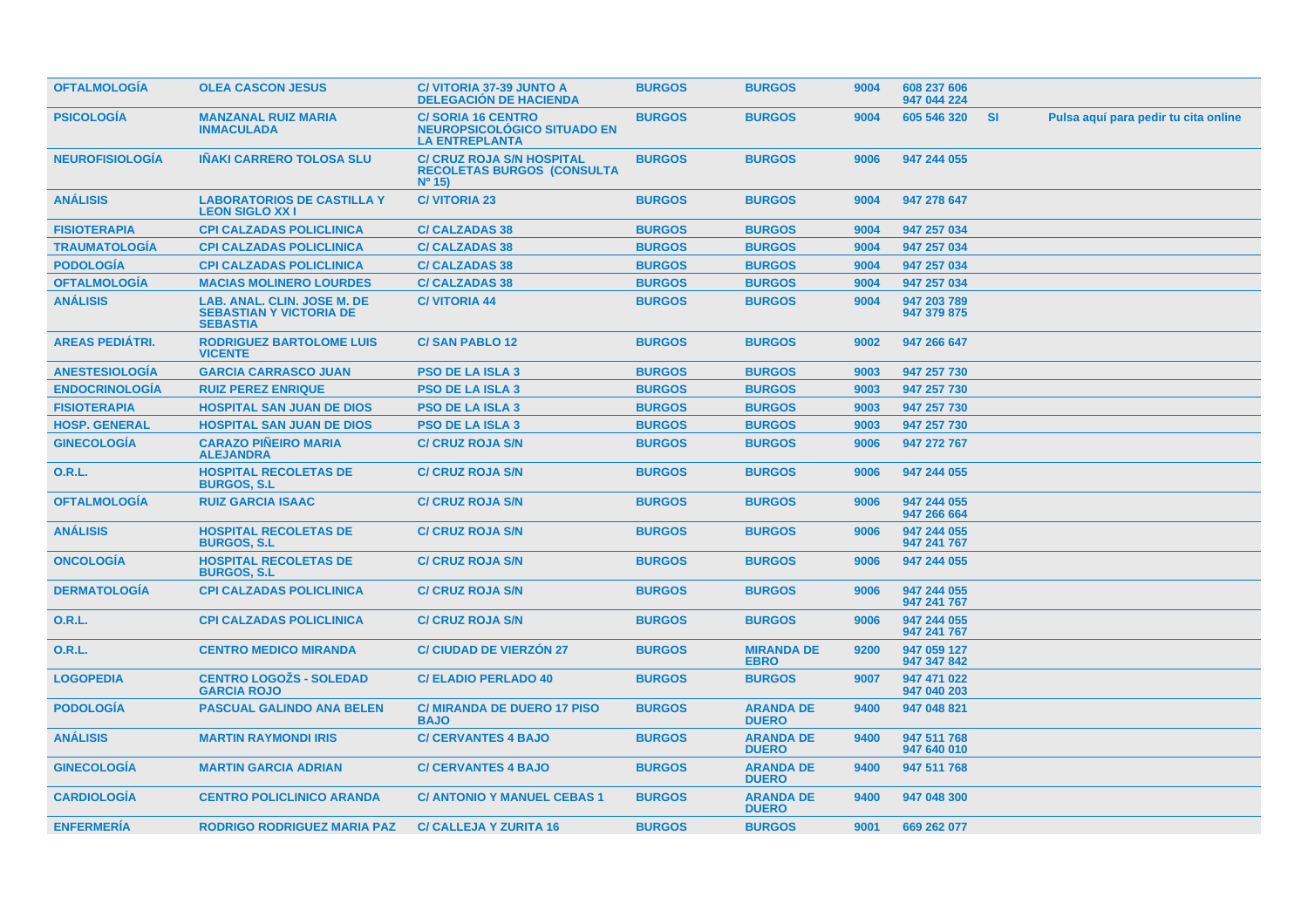| <b>OFTALMOLOGIA</b>    | <b>OLEA CASCON JESUS</b>                                                         | <b>C/ VITORIA 37-39 JUNTO A</b><br><b>DELEGACIÓN DE HACIENDA</b>                         | <b>BURGOS</b> | <b>BURGOS</b>                    | 9004 | 608 237 606<br>947 044 224 |           |                                      |
|------------------------|----------------------------------------------------------------------------------|------------------------------------------------------------------------------------------|---------------|----------------------------------|------|----------------------------|-----------|--------------------------------------|
| <b>PSICOLOGIA</b>      | <b>MANZANAL RUIZ MARIA</b><br><b>INMACULADA</b>                                  | <b>C/SORIA 16 CENTRO</b><br><b>NEUROPSICOLÓGICO SITUADO EN</b><br><b>LA ENTREPLANTA</b>  | <b>BURGOS</b> | <b>BURGOS</b>                    | 9004 | 605 546 320                | <b>SI</b> | Pulsa aquí para pedir tu cita online |
| <b>NEUROFISIOLOGIA</b> | <b>INAKI CARRERO TOLOSA SLU</b>                                                  | <b>C/ CRUZ ROJA S/N HOSPITAL</b><br><b>RECOLETAS BURGOS (CONSULTA</b><br>$N^{\circ}$ 15) | <b>BURGOS</b> | <b>BURGOS</b>                    | 9006 | 947 244 055                |           |                                      |
| <b>ANÁLISIS</b>        | <b>LABORATORIOS DE CASTILLA Y</b><br><b>LEON SIGLO XXI</b>                       | <b>C/VITORIA 23</b>                                                                      | <b>BURGOS</b> | <b>BURGOS</b>                    | 9004 | 947 278 647                |           |                                      |
| <b>FISIOTERAPIA</b>    | <b>CPI CALZADAS POLICLINICA</b>                                                  | <b>C/CALZADAS 38</b>                                                                     | <b>BURGOS</b> | <b>BURGOS</b>                    | 9004 | 947 257 034                |           |                                      |
| <b>TRAUMATOLOGIA</b>   | <b>CPI CALZADAS POLICLINICA</b>                                                  | <b>C/CALZADAS 38</b>                                                                     | <b>BURGOS</b> | <b>BURGOS</b>                    | 9004 | 947 257 034                |           |                                      |
| <b>PODOLOGÍA</b>       | <b>CPI CALZADAS POLICLINICA</b>                                                  | <b>C/CALZADAS 38</b>                                                                     | <b>BURGOS</b> | <b>BURGOS</b>                    | 9004 | 947 257 034                |           |                                      |
| <b>OFTALMOLOGIA</b>    | <b>MACIAS MOLINERO LOURDES</b>                                                   | <b>C/ CALZADAS 38</b>                                                                    | <b>BURGOS</b> | <b>BURGOS</b>                    | 9004 | 947 257 034                |           |                                      |
| <b>ANÁLISIS</b>        | LAB. ANAL. CLIN. JOSE M. DE<br><b>SEBASTIAN Y VICTORIA DE</b><br><b>SEBASTIA</b> | <b>C/VITORIA 44</b>                                                                      | <b>BURGOS</b> | <b>BURGOS</b>                    | 9004 | 947 203 789<br>947 379 875 |           |                                      |
| <b>AREAS PEDIATRI.</b> | <b>RODRIGUEZ BARTOLOME LUIS</b><br><b>VICENTE</b>                                | <b>C/SAN PABLO 12</b>                                                                    | <b>BURGOS</b> | <b>BURGOS</b>                    | 9002 | 947 266 647                |           |                                      |
| <b>ANESTESIOLOGÍA</b>  | <b>GARCIA CARRASCO JUAN</b>                                                      | <b>PSO DE LA ISLA 3</b>                                                                  | <b>BURGOS</b> | <b>BURGOS</b>                    | 9003 | 947 257 730                |           |                                      |
| <b>ENDOCRINOLOGIA</b>  | <b>RUIZ PEREZ ENRIQUE</b>                                                        | <b>PSO DE LA ISLA 3</b>                                                                  | <b>BURGOS</b> | <b>BURGOS</b>                    | 9003 | 947 257 730                |           |                                      |
| <b>FISIOTERAPIA</b>    | <b>HOSPITAL SAN JUAN DE DIOS</b>                                                 | <b>PSO DE LA ISLA 3</b>                                                                  | <b>BURGOS</b> | <b>BURGOS</b>                    | 9003 | 947 257 730                |           |                                      |
| <b>HOSP. GENERAL</b>   | <b>HOSPITAL SAN JUAN DE DIOS</b>                                                 | <b>PSO DE LA ISLA 3</b>                                                                  | <b>BURGOS</b> | <b>BURGOS</b>                    | 9003 | 947 257 730                |           |                                      |
| <b>GINECOLOGÍA</b>     | <b>CARAZO PIÑEIRO MARIA</b><br><b>ALEJANDRA</b>                                  | <b>C/ CRUZ ROJA S/N</b>                                                                  | <b>BURGOS</b> | <b>BURGOS</b>                    | 9006 | 947 272 767                |           |                                      |
| <b>O.R.L.</b>          | <b>HOSPITAL RECOLETAS DE</b><br><b>BURGOS, S.L.</b>                              | <b>C/ CRUZ ROJA S/N</b>                                                                  | <b>BURGOS</b> | <b>BURGOS</b>                    | 9006 | 947 244 055                |           |                                      |
| <b>OFTALMOLOGÍA</b>    | <b>RUIZ GARCIA ISAAC</b>                                                         | <b>C/ CRUZ ROJA S/N</b>                                                                  | <b>BURGOS</b> | <b>BURGOS</b>                    | 9006 | 947 244 055<br>947 266 664 |           |                                      |
| <b>ANÁLISIS</b>        | <b>HOSPITAL RECOLETAS DE</b><br><b>BURGOS, S.L</b>                               | <b>C/ CRUZ ROJA S/N</b>                                                                  | <b>BURGOS</b> | <b>BURGOS</b>                    | 9006 | 947 244 055<br>947 241 767 |           |                                      |
| <b>ONCOLOGIA</b>       | <b>HOSPITAL RECOLETAS DE</b><br><b>BURGOS, S.L.</b>                              | <b>C/ CRUZ ROJA S/N</b>                                                                  | <b>BURGOS</b> | <b>BURGOS</b>                    | 9006 | 947 244 055                |           |                                      |
| <b>DERMATOLOGIA</b>    | <b>CPI CALZADAS POLICLINICA</b>                                                  | <b>C/ CRUZ ROJA S/N</b>                                                                  | <b>BURGOS</b> | <b>BURGOS</b>                    | 9006 | 947 244 055<br>947 241 767 |           |                                      |
| <b>O.R.L.</b>          | <b>CPI CALZADAS POLICLINICA</b>                                                  | <b>C/ CRUZ ROJA S/N</b>                                                                  | <b>BURGOS</b> | <b>BURGOS</b>                    | 9006 | 947 244 055<br>947 241 767 |           |                                      |
| <b>O.R.L.</b>          | <b>CENTRO MEDICO MIRANDA</b>                                                     | <b>C/ CIUDAD DE VIERZON 27</b>                                                           | <b>BURGOS</b> | <b>MIRANDA DE</b><br><b>EBRO</b> | 9200 | 947 059 127<br>947 347 842 |           |                                      |
| <b>LOGOPEDIA</b>       | <b>CENTRO LOGOŽS - SOLEDAD</b><br><b>GARCIA ROJO</b>                             | <b>C/ ELADIO PERLADO 40</b>                                                              | <b>BURGOS</b> | <b>BURGOS</b>                    | 9007 | 947 471 022<br>947 040 203 |           |                                      |
| <b>PODOLOGIA</b>       | <b>PASCUAL GALINDO ANA BELEN</b>                                                 | <b>C/ MIRANDA DE DUERO 17 PISO</b><br><b>BAJO</b>                                        | <b>BURGOS</b> | <b>ARANDA DE</b><br><b>DUERO</b> | 9400 | 947 048 821                |           |                                      |
| <b>ANÁLISIS</b>        | <b>MARTIN RAYMONDI IRIS</b>                                                      | <b>C/ CERVANTES 4 BAJO</b>                                                               | <b>BURGOS</b> | <b>ARANDA DE</b><br><b>DUERO</b> | 9400 | 947 511 768<br>947 640 010 |           |                                      |
| <b>GINECOLOGIA</b>     | <b>MARTIN GARCIA ADRIAN</b>                                                      | <b>C/ CERVANTES 4 BAJO</b>                                                               | <b>BURGOS</b> | <b>ARANDA DE</b><br><b>DUERO</b> | 9400 | 947 511 768                |           |                                      |
| <b>CARDIOLOGIA</b>     | <b>CENTRO POLICLINICO ARANDA</b>                                                 | <b>C/ ANTONIO Y MANUEL CEBAS 1</b>                                                       | <b>BURGOS</b> | <b>ARANDA DE</b><br><b>DUERO</b> | 9400 | 947 048 300                |           |                                      |
| <b>ENFERMERIA</b>      | <b>RODRIGO RODRIGUEZ MARIA PAZ</b>                                               | <b>C/ CALLEJA Y ZURITA 16</b>                                                            | <b>BURGOS</b> | <b>BURGOS</b>                    | 9001 | 669 262 077                |           |                                      |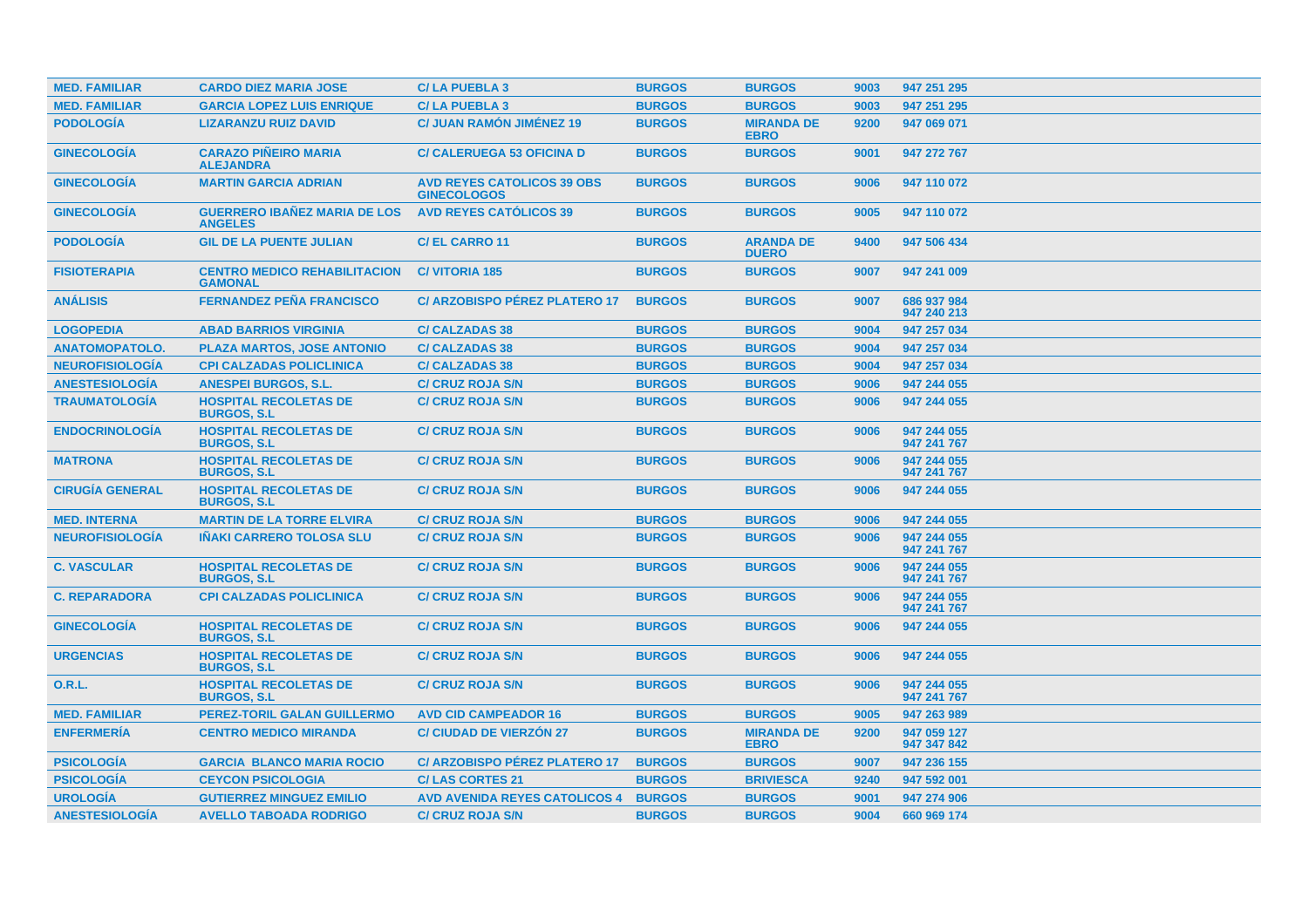| <b>MED. FAMILIAR</b>   | <b>CARDO DIEZ MARIA JOSE</b>                          | <b>C/LA PUEBLA 3</b>                                    | <b>BURGOS</b> | <b>BURGOS</b>                    | 9003 | 947 251 295                |
|------------------------|-------------------------------------------------------|---------------------------------------------------------|---------------|----------------------------------|------|----------------------------|
| <b>MED. FAMILIAR</b>   | <b>GARCIA LOPEZ LUIS ENRIQUE</b>                      | <b>C/LA PUEBLA 3</b>                                    | <b>BURGOS</b> | <b>BURGOS</b>                    | 9003 | 947 251 295                |
| <b>PODOLOGÍA</b>       | <b>LIZARANZU RUIZ DAVID</b>                           | <b>C/ JUAN RAMÓN JIMÉNEZ 19</b>                         | <b>BURGOS</b> | <b>MIRANDA DE</b><br><b>EBRO</b> | 9200 | 947 069 071                |
| <b>GINECOLOGÍA</b>     | <b>CARAZO PIÑEIRO MARIA</b><br><b>ALEJANDRA</b>       | <b>C/ CALERUEGA 53 OFICINA D</b>                        | <b>BURGOS</b> | <b>BURGOS</b>                    | 9001 | 947 272 767                |
| <b>GINECOLOGÍA</b>     | <b>MARTIN GARCIA ADRIAN</b>                           | <b>AVD REYES CATOLICOS 39 OBS</b><br><b>GINECOLOGOS</b> | <b>BURGOS</b> | <b>BURGOS</b>                    | 9006 | 947 110 072                |
| <b>GINECOLOGIA</b>     | <b>GUERRERO IBAÑEZ MARIA DE LOS</b><br><b>ANGELES</b> | <b>AVD REYES CATÓLICOS 39</b>                           | <b>BURGOS</b> | <b>BURGOS</b>                    | 9005 | 947 110 072                |
| <b>PODOLOGÍA</b>       | <b>GIL DE LA PUENTE JULIAN</b>                        | <b>C/EL CARRO 11</b>                                    | <b>BURGOS</b> | <b>ARANDA DE</b><br><b>DUERO</b> | 9400 | 947 506 434                |
| <b>FISIOTERAPIA</b>    | <b>CENTRO MEDICO REHABILITACION</b><br><b>GAMONAL</b> | <b>C/VITORIA 185</b>                                    | <b>BURGOS</b> | <b>BURGOS</b>                    | 9007 | 947 241 009                |
| <b>ANÁLISIS</b>        | <b>FERNANDEZ PEÑA FRANCISCO</b>                       | C/ ARZOBISPO PÉREZ PLATERO 17                           | <b>BURGOS</b> | <b>BURGOS</b>                    | 9007 | 686 937 984<br>947 240 213 |
| <b>LOGOPEDIA</b>       | <b>ABAD BARRIOS VIRGINIA</b>                          | <b>C/CALZADAS 38</b>                                    | <b>BURGOS</b> | <b>BURGOS</b>                    | 9004 | 947 257 034                |
| <b>ANATOMOPATOLO.</b>  | <b>PLAZA MARTOS, JOSE ANTONIO</b>                     | <b>C/ CALZADAS 38</b>                                   | <b>BURGOS</b> | <b>BURGOS</b>                    | 9004 | 947 257 034                |
| <b>NEUROFISIOLOGIA</b> | <b>CPI CALZADAS POLICLINICA</b>                       | <b>C/ CALZADAS 38</b>                                   | <b>BURGOS</b> | <b>BURGOS</b>                    | 9004 | 947 257 034                |
| <b>ANESTESIOLOGÍA</b>  | <b>ANESPEI BURGOS, S.L.</b>                           | <b>C/ CRUZ ROJA S/N</b>                                 | <b>BURGOS</b> | <b>BURGOS</b>                    | 9006 | 947 244 055                |
| <b>TRAUMATOLOGÍA</b>   | <b>HOSPITAL RECOLETAS DE</b><br><b>BURGOS, S.L.</b>   | <b>C/ CRUZ ROJA S/N</b>                                 | <b>BURGOS</b> | <b>BURGOS</b>                    | 9006 | 947 244 055                |
| <b>ENDOCRINOLOGIA</b>  | <b>HOSPITAL RECOLETAS DE</b><br><b>BURGOS, S.L.</b>   | <b>C/ CRUZ ROJA S/N</b>                                 | <b>BURGOS</b> | <b>BURGOS</b>                    | 9006 | 947 244 055<br>947 241 767 |
| <b>MATRONA</b>         | <b>HOSPITAL RECOLETAS DE</b><br><b>BURGOS, S.L.</b>   | <b>C/ CRUZ ROJA S/N</b>                                 | <b>BURGOS</b> | <b>BURGOS</b>                    | 9006 | 947 244 055<br>947 241 767 |
| <b>CIRUGIA GENERAL</b> | <b>HOSPITAL RECOLETAS DE</b><br><b>BURGOS, S.L.</b>   | <b>C/ CRUZ ROJA S/N</b>                                 | <b>BURGOS</b> | <b>BURGOS</b>                    | 9006 | 947 244 055                |
| <b>MED. INTERNA</b>    | <b>MARTIN DE LA TORRE ELVIRA</b>                      | <b>C/ CRUZ ROJA S/N</b>                                 | <b>BURGOS</b> | <b>BURGOS</b>                    | 9006 | 947 244 055                |
| <b>NEUROFISIOLOGÍA</b> | <b>IÑAKI CARRERO TOLOSA SLU</b>                       | <b>C/ CRUZ ROJA S/N</b>                                 | <b>BURGOS</b> | <b>BURGOS</b>                    | 9006 | 947 244 055<br>947 241 767 |
| <b>C. VASCULAR</b>     | <b>HOSPITAL RECOLETAS DE</b><br><b>BURGOS, S.L.</b>   | <b>C/ CRUZ ROJA S/N</b>                                 | <b>BURGOS</b> | <b>BURGOS</b>                    | 9006 | 947 244 055<br>947 241 767 |
| <b>C. REPARADORA</b>   | <b>CPI CALZADAS POLICLINICA</b>                       | <b>C/ CRUZ ROJA S/N</b>                                 | <b>BURGOS</b> | <b>BURGOS</b>                    | 9006 | 947 244 055<br>947 241 767 |
| <b>GINECOLOGIA</b>     | <b>HOSPITAL RECOLETAS DE</b><br><b>BURGOS, S.L.</b>   | <b>C/ CRUZ ROJA S/N</b>                                 | <b>BURGOS</b> | <b>BURGOS</b>                    | 9006 | 947 244 055                |
| <b>URGENCIAS</b>       | <b>HOSPITAL RECOLETAS DE</b><br><b>BURGOS, S.L.</b>   | <b>C/ CRUZ ROJA S/N</b>                                 | <b>BURGOS</b> | <b>BURGOS</b>                    | 9006 | 947 244 055                |
| <b>O.R.L.</b>          | <b>HOSPITAL RECOLETAS DE</b><br><b>BURGOS, S.L.</b>   | <b>C/ CRUZ ROJA S/N</b>                                 | <b>BURGOS</b> | <b>BURGOS</b>                    | 9006 | 947 244 055<br>947 241 767 |
| <b>MED. FAMILIAR</b>   | <b>PEREZ-TORIL GALAN GUILLERMO</b>                    | <b>AVD CID CAMPEADOR 16</b>                             | <b>BURGOS</b> | <b>BURGOS</b>                    | 9005 | 947 263 989                |
| <b>ENFERMERÍA</b>      | <b>CENTRO MEDICO MIRANDA</b>                          | <b>C/ CIUDAD DE VIERZÓN 27</b>                          | <b>BURGOS</b> | <b>MIRANDA DE</b><br><b>EBRO</b> | 9200 | 947 059 127<br>947 347 842 |
| <b>PSICOLOGIA</b>      | <b>GARCIA BLANCO MARIA ROCIO</b>                      | C/ ARZOBISPO PÉREZ PLATERO 17                           | <b>BURGOS</b> | <b>BURGOS</b>                    | 9007 | 947 236 155                |
| <b>PSICOLOGÍA</b>      | <b>CEYCON PSICOLOGIA</b>                              | <b>C/LAS CORTES 21</b>                                  | <b>BURGOS</b> | <b>BRIVIESCA</b>                 | 9240 | 947 592 001                |
| <b>UROLOGÍA</b>        | <b>GUTIERREZ MINGUEZ EMILIO</b>                       | <b>AVD AVENIDA REYES CATOLICOS 4</b>                    | <b>BURGOS</b> | <b>BURGOS</b>                    | 9001 | 947 274 906                |
| <b>ANESTESIOLOGÍA</b>  | <b>AVELLO TABOADA RODRIGO</b>                         | <b>C/ CRUZ ROJA S/N</b>                                 | <b>BURGOS</b> | <b>BURGOS</b>                    | 9004 | 660 969 174                |
|                        |                                                       |                                                         |               |                                  |      |                            |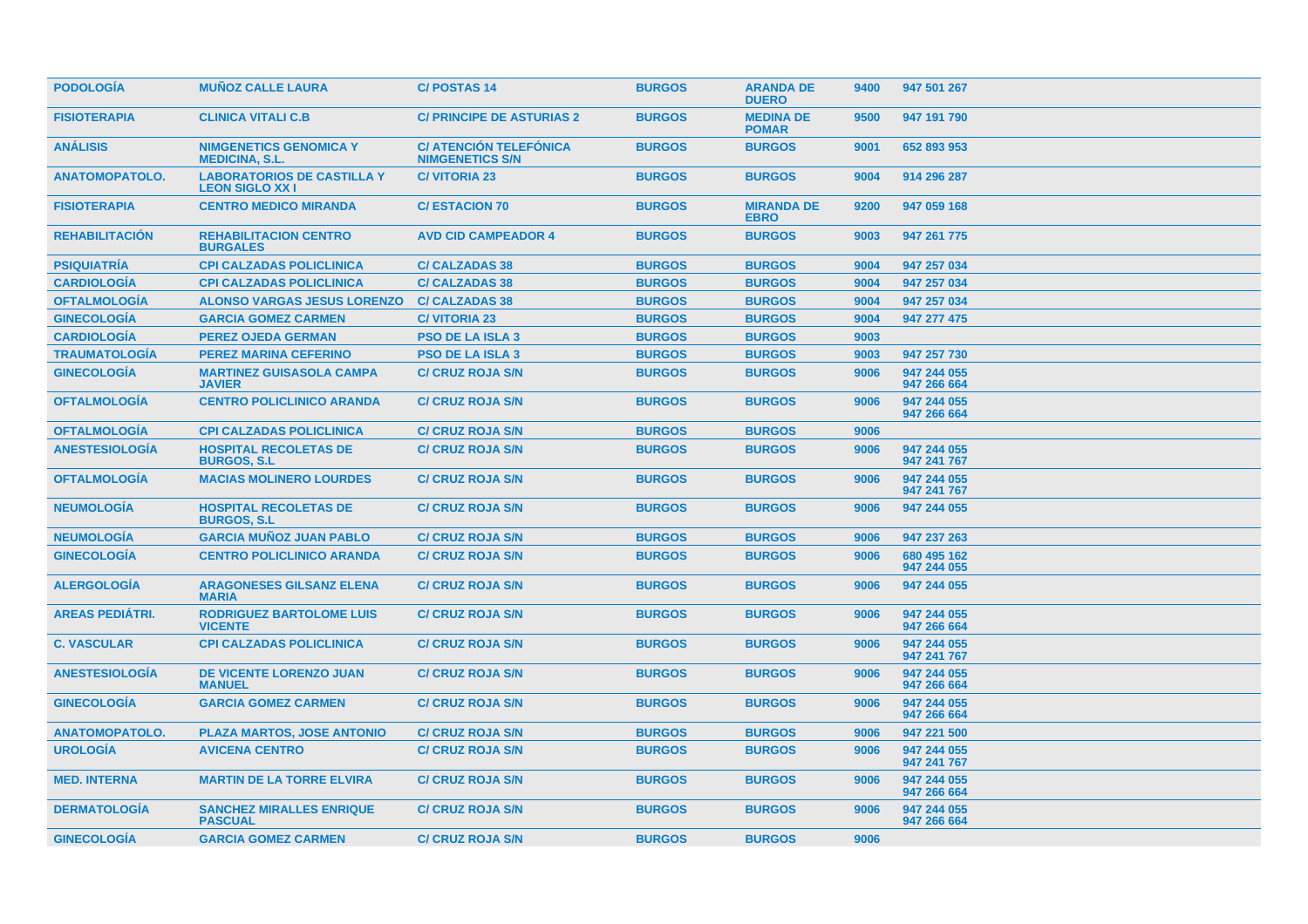| <b>PODOLOGIA</b>       | <b>MUÑOZ CALLE LAURA</b>                                   | <b>C/POSTAS14</b>                                       | <b>BURGOS</b> | <b>ARANDA DE</b><br><b>DUERO</b> | 9400 | 947 501 267                |
|------------------------|------------------------------------------------------------|---------------------------------------------------------|---------------|----------------------------------|------|----------------------------|
| <b>FISIOTERAPIA</b>    | <b>CLINICA VITALI C.B</b>                                  | <b>C/ PRINCIPE DE ASTURIAS 2</b>                        | <b>BURGOS</b> | <b>MEDINA DE</b><br><b>POMAR</b> | 9500 | 947 191 790                |
| <b>ANÁLISIS</b>        | <b>NIMGENETICS GENOMICA Y</b><br><b>MEDICINA, S.L.</b>     | <b>C/ ATENCIÓN TELEFÓNICA</b><br><b>NIMGENETICS S/N</b> | <b>BURGOS</b> | <b>BURGOS</b>                    | 9001 | 652 893 953                |
| <b>ANATOMOPATOLO.</b>  | <b>LABORATORIOS DE CASTILLA Y</b><br><b>LEON SIGLO XXI</b> | <b>C/VITORIA 23</b>                                     | <b>BURGOS</b> | <b>BURGOS</b>                    | 9004 | 914 296 287                |
| <b>FISIOTERAPIA</b>    | <b>CENTRO MEDICO MIRANDA</b>                               | <b>C/ESTACION 70</b>                                    | <b>BURGOS</b> | <b>MIRANDA DE</b><br><b>EBRO</b> | 9200 | 947 059 168                |
| <b>REHABILITACION</b>  | <b>REHABILITACION CENTRO</b><br><b>BURGALES</b>            | <b>AVD CID CAMPEADOR 4</b>                              | <b>BURGOS</b> | <b>BURGOS</b>                    | 9003 | 947 261 775                |
| <b>PSIQUIATRIA</b>     | <b>CPI CALZADAS POLICLINICA</b>                            | <b>C/ CALZADAS 38</b>                                   | <b>BURGOS</b> | <b>BURGOS</b>                    | 9004 | 947 257 034                |
| <b>CARDIOLOGIA</b>     | <b>CPI CALZADAS POLICLINICA</b>                            | <b>C/ CALZADAS 38</b>                                   | <b>BURGOS</b> | <b>BURGOS</b>                    | 9004 | 947 257 034                |
| <b>OFTALMOLOGÍA</b>    | <b>ALONSO VARGAS JESUS LORENZO</b>                         | <b>C/ CALZADAS 38</b>                                   | <b>BURGOS</b> | <b>BURGOS</b>                    | 9004 | 947 257 034                |
| <b>GINECOLOGÍA</b>     | <b>GARCIA GOMEZ CARMEN</b>                                 | <b>C/VITORIA 23</b>                                     | <b>BURGOS</b> | <b>BURGOS</b>                    | 9004 | 947 277 475                |
| <b>CARDIOLOGÍA</b>     | <b>PEREZ OJEDA GERMAN</b>                                  | <b>PSO DE LA ISLA 3</b>                                 | <b>BURGOS</b> | <b>BURGOS</b>                    | 9003 |                            |
| <b>TRAUMATOLOGÍA</b>   | <b>PEREZ MARINA CEFERINO</b>                               | <b>PSO DE LA ISLA 3</b>                                 | <b>BURGOS</b> | <b>BURGOS</b>                    | 9003 | 947 257 730                |
| <b>GINECOLOGÍA</b>     | <b>MARTINEZ GUISASOLA CAMPA</b><br><b>JAVIER</b>           | <b>C/ CRUZ ROJA S/N</b>                                 | <b>BURGOS</b> | <b>BURGOS</b>                    | 9006 | 947 244 055<br>947 266 664 |
| <b>OFTALMOLOGIA</b>    | <b>CENTRO POLICLINICO ARANDA</b>                           | <b>C/ CRUZ ROJA S/N</b>                                 | <b>BURGOS</b> | <b>BURGOS</b>                    | 9006 | 947 244 055<br>947 266 664 |
| <b>OFTALMOLOGIA</b>    | <b>CPI CALZADAS POLICLINICA</b>                            | <b>C/ CRUZ ROJA S/N</b>                                 | <b>BURGOS</b> | <b>BURGOS</b>                    | 9006 |                            |
| <b>ANESTESIOLOGIA</b>  | <b>HOSPITAL RECOLETAS DE</b><br><b>BURGOS, S.L.</b>        | <b>C/ CRUZ ROJA S/N</b>                                 | <b>BURGOS</b> | <b>BURGOS</b>                    | 9006 | 947 244 055<br>947 241 767 |
| <b>OFTALMOLOGIA</b>    | <b>MACIAS MOLINERO LOURDES</b>                             | <b>C/ CRUZ ROJA S/N</b>                                 | <b>BURGOS</b> | <b>BURGOS</b>                    | 9006 | 947 244 055<br>947 241 767 |
| <b>NEUMOLOGIA</b>      | <b>HOSPITAL RECOLETAS DE</b><br><b>BURGOS, S.L.</b>        | <b>C/ CRUZ ROJA S/N</b>                                 | <b>BURGOS</b> | <b>BURGOS</b>                    | 9006 | 947 244 055                |
| <b>NEUMOLOGIA</b>      | <b>GARCIA MUÑOZ JUAN PABLO</b>                             | <b>C/ CRUZ ROJA S/N</b>                                 | <b>BURGOS</b> | <b>BURGOS</b>                    | 9006 | 947 237 263                |
| <b>GINECOLOGÍA</b>     | <b>CENTRO POLICLINICO ARANDA</b>                           | <b>C/ CRUZ ROJA S/N</b>                                 | <b>BURGOS</b> | <b>BURGOS</b>                    | 9006 | 680 495 162<br>947 244 055 |
| <b>ALERGOLOGIA</b>     | <b>ARAGONESES GILSANZ ELENA</b><br><b>MARIA</b>            | <b>C/ CRUZ ROJA S/N</b>                                 | <b>BURGOS</b> | <b>BURGOS</b>                    | 9006 | 947 244 055                |
| <b>AREAS PEDIATRI.</b> | <b>RODRIGUEZ BARTOLOME LUIS</b><br><b>VICENTE</b>          | <b>C/ CRUZ ROJA S/N</b>                                 | <b>BURGOS</b> | <b>BURGOS</b>                    | 9006 | 947 244 055<br>947 266 664 |
| <b>C. VASCULAR</b>     | <b>CPI CALZADAS POLICLINICA</b>                            | <b>C/ CRUZ ROJA S/N</b>                                 | <b>BURGOS</b> | <b>BURGOS</b>                    | 9006 | 947 244 055<br>947 241 767 |
| <b>ANESTESIOLOGIA</b>  | DE VICENTE LORENZO JUAN<br><b>MANUEL</b>                   | <b>C/ CRUZ ROJA S/N</b>                                 | <b>BURGOS</b> | <b>BURGOS</b>                    | 9006 | 947 244 055<br>947 266 664 |
| <b>GINECOLOGÍA</b>     | <b>GARCIA GOMEZ CARMEN</b>                                 | <b>C/ CRUZ ROJA S/N</b>                                 | <b>BURGOS</b> | <b>BURGOS</b>                    | 9006 | 947 244 055<br>947 266 664 |
| <b>ANATOMOPATOLO.</b>  | <b>PLAZA MARTOS, JOSE ANTONIO</b>                          | <b>C/ CRUZ ROJA S/N</b>                                 | <b>BURGOS</b> | <b>BURGOS</b>                    | 9006 | 947 221 500                |
| <b>UROLOGIA</b>        | <b>AVICENA CENTRO</b>                                      | <b>C/ CRUZ ROJA S/N</b>                                 | <b>BURGOS</b> | <b>BURGOS</b>                    | 9006 | 947 244 055<br>947 241 767 |
| <b>MED. INTERNA</b>    | <b>MARTIN DE LA TORRE ELVIRA</b>                           | <b>C/ CRUZ ROJA S/N</b>                                 | <b>BURGOS</b> | <b>BURGOS</b>                    | 9006 | 947 244 055<br>947 266 664 |
| <b>DERMATOLOGÍA</b>    | <b>SANCHEZ MIRALLES ENRIQUE</b><br><b>PASCUAL</b>          | <b>C/ CRUZ ROJA S/N</b>                                 | <b>BURGOS</b> | <b>BURGOS</b>                    | 9006 | 947 244 055<br>947 266 664 |
| <b>GINECOLOGÍA</b>     | <b>GARCIA GOMEZ CARMEN</b>                                 | <b>C/ CRUZ ROJA S/N</b>                                 | <b>BURGOS</b> | <b>BURGOS</b>                    | 9006 |                            |
|                        |                                                            |                                                         |               |                                  |      |                            |